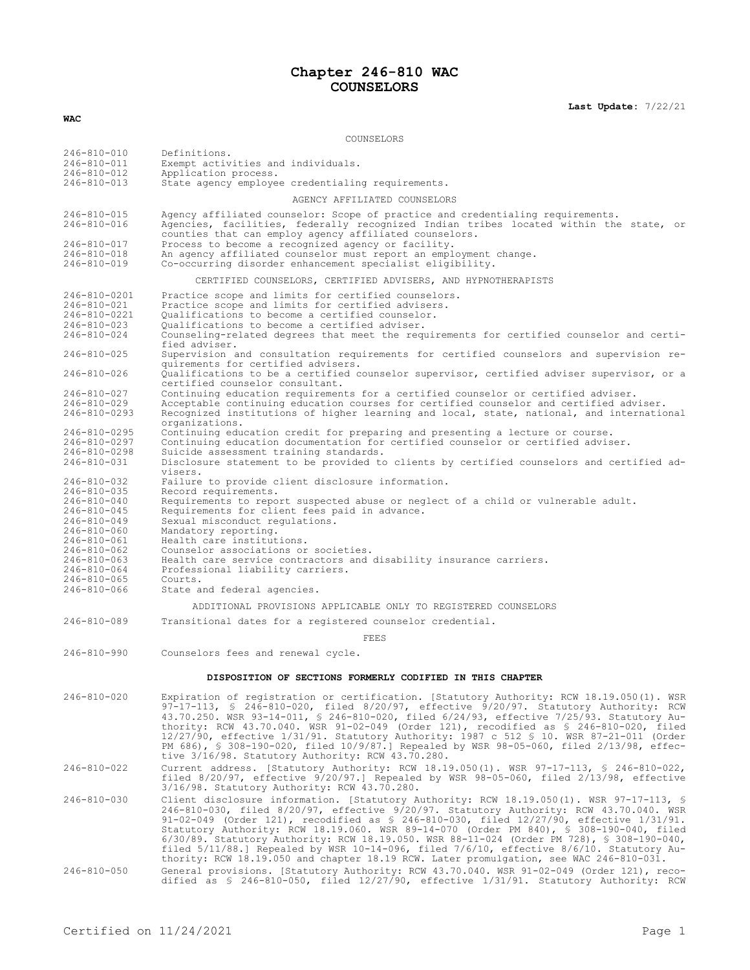# **Chapter 246-810 WAC COUNSELORS**

**Last Update:** 7/22/21

COUNSELORS 246-810-010 Definitions.<br>246-810-011 Exempt activ 246-810-011 Exempt activities and individuals.<br>246-810-012 Application process 246-810-012 Application process. State agency employee credentialing requirements. AGENCY AFFILIATED COUNSELORS 246-810-015 Agency affiliated counselor: Scope of practice and credentialing requirements. 246-810-016 Agencies, facilities, federally recognized Indian tribes located within the state, or counties that can employ agency affiliated counselors. 246-810-017 Process to become a recognized agency or facility. 246-810-018 An agency affiliated counselor must report an employment change.<br>246-810-019 Co-occurring disorder enhancement specialist eligibility Co-occurring disorder enhancement specialist eligibility. CERTIFIED COUNSELORS, CERTIFIED ADVISERS, AND HYPNOTHERAPISTS 246-810-0201 Practice scope and limits for certified counselors. 246-810-021 Practice scope and limits for certified advisers. 246-810-0221 Qualifications to become a certified counselor. 246-810-023 Qualifications to become a certified adviser. Counseling-related degrees that meet the requirements for certified counselor and certified adviser. 246-810-025 Supervision and consultation requirements for certified counselors and supervision requirements for certified advisers. 246-810-026 Qualifications to be a certified counselor supervisor, certified adviser supervisor, or a certified counselor consultant. 246-810-027 Continuing education requirements for a certified counselor or certified adviser. 246-810-029 Acceptable continuing education courses for certified counselor and certified adviser. 246-810-0293 Recognized institutions of higher learning and local, state, national, and international organizations. 246-810-0295 Continuing education credit for preparing and presenting a lecture or course. 246-810-0297 Continuing education documentation for certified counselor or certified adviser. 246-810-0298 Suicide assessment training standards. Disclosure statement to be provided to clients by certified counselors and certified advisers. 246-810-032 Failure to provide client disclosure information.<br>246-810-035 Record requirements. 246-810-035 Record requirements. 246-810-040 Requirements to report suspected abuse or neglect of a child or vulnerable adult.<br>246-810-045 Requirements for client fees paid in advance. 246-810-045 Requirements for client fees paid in advance.<br>246-810-049 Sexual misconduct requlations. 246-810-049 Sexual misconduct regulations.<br>246-810-060 Mandatory reporting. 246-810-060 Mandatory reporting. 246-810-061 Health care institutions. 246-810-062 Counselor associations or societies. 246-810-063 Health care service contractors and disability insurance carriers.<br>246-810-064 Professional liability carriers. Professional liability carriers.<br>Courts.  $246 - 810 - 065$ <br> $246 - 810 - 066$ State and federal agencies. ADDITIONAL PROVISIONS APPLICABLE ONLY TO REGISTERED COUNSELORS 246-810-089 Transitional dates for a registered counselor credential. FEES 246-810-990 Counselors fees and renewal cycle. **DISPOSITION OF SECTIONS FORMERLY CODIFIED IN THIS CHAPTER** 246-810-020 Expiration of registration or certification. [Statutory Authority: RCW 18.19.050(1). WSR 97-17-113, § 246-810-020, filed 8/20/97, effective 9/20/97. Statutory Authority: RCW 43.70.250. WSR 93-14-011, § 246-810-020, filed 6/24/93, effective 7/25/93. Statutory Authority: RCW 43.70.040. WSR 91-02-049 (Order 121), recodified as § 246-810-020, filed 12/27/90, effective 1/31/91. Statutory Authority: 1987 c 512 § 10. WSR 87-21-011 (Order PM 686), § 308-190-020, filed 10/9/87.] Repealed by WSR 98-05-060, filed 2/13/98, effective 3/16/98. Statutory Authority: RCW 43.70.280. 246-810-022 Current address. [Statutory Authority: RCW 18.19.050(1). WSR 97-17-113, § 246-810-022, filed 8/20/97, effective 9/20/97.] Repealed by WSR 98-05-060, filed 2/13/98, effective 3/16/98. Statutory Authority: RCW 43.70.280. 246-810-030 Client disclosure information. [Statutory Authority: RCW 18.19.050(1). WSR 97-17-113, \$<br>246-810-030, filed 8/20/97, effective 9/20/97. Statutory Authority: RCW 43.70.040. WSR<br>91-02-049 (Order 121), recodified a Statutory Authority: RCW 18.19.060. WSR 89-14-070 (Order PM 840), § 308-190-040, filed 6/30/89. Statutory Authority: RCW 18.19.050. WSR 88-11-024 (Order PM 728), § 308-190-040,

filed 5/11/88.] Repealed by WSR 10-14-096, filed  $7/6/10$ , effective 8/6/10. Statutory Authority: RCW 18.19.050 and chapter 18.19 RCW. Later promulgation, see WAC 246-810-031.

246-810-050 General provisions. [Statutory Authority: RCW 43.70.040. WSR 91-02-049 (Order 121), reco-dified as § 246-810-050, filed 12/27/90, effective 1/31/91. Statutory Authority: RCW

**WAC**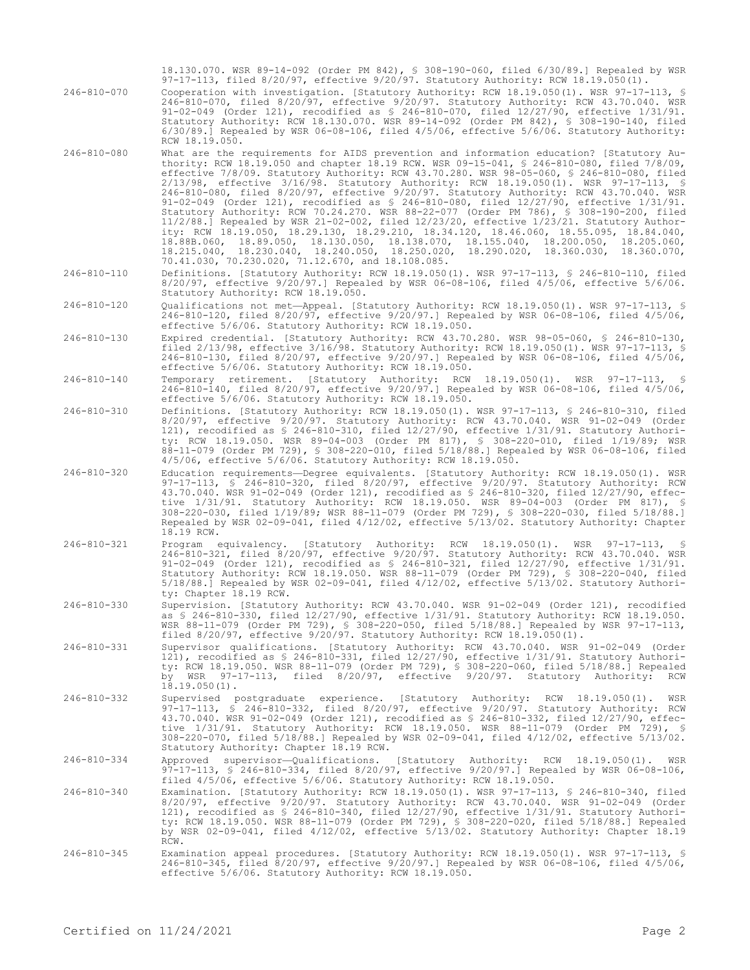18.130.070. WSR 89-14-092 (Order PM 842), § 308-190-060, filed 6/30/89.] Repealed by WSR 97-17-113, filed 8/20/97, effective 9/20/97. Statutory Authority: RCW 18.19.050(1).

246-810-070 Cooperation with investigation. [Statutory Authority: RCW 18.19.050(1). WSR 97-17-113, § 246-810-070, filed 8/20/97, effective 9/20/97. Statutory Authority: RCW 43.70.040. WSR 91-02-049 (Order 121), recodified as § 246-810-070, filed 12/27/90, effective 1/31/91. Statutory Authority: RCW 18.130.070. WSR 89-14-092 (Order PM 842), § 308-190-140, filed 6/30/89.] Repealed by WSR 06-08-106, filed 4/5/06, effective 5/6/06. Statutory Authority: RCW 18.19.050.

246-810-080 What are the requirements for AIDS prevention and information education? [Statutory Authority: RCW 18.19.050 and chapter 18.19 RCW. WSR 09-15-041, § 246-810-080, filed 7/8/09, effective 7/8/09. Statutory Authority: RCW 43.70.280. WSR 98-05-060, § 246-810-080, filed 2/13/98, effective 3/16/98. Statutory Authority: RCW 18.19.050(1). WSR 97-17-113, § 246-810-080, filed 8/20/97, effective 9/20/97. Statutory Authority: RCW 43.70.040. WSR 91-02-049 (Order 121), recodified as § 246-810-080, filed 12/27/90, effective 1/31/91. Statutory Authority: RCW 70.24.270. WSR 88-22-077 (Order PM 786), § 308-190-200, filed 11/2/88.] Repealed by WSR 21-02-002, filed 12/23/20, effective 1/23/21. Statutory Authority: RCW 18.19.050, 18.29.130, 18.29.210, 18.34.120, 18.46.060, 18.55.095, 18.84.040, 18.88B.060, 18.89.050, 18.130.050, 18.138.070, 18.155.040, 18.200.050, 18.205.060, 18.215.040, 18.230.040, 18.240.050, 18.250.020, 18.290.020, 18.360.030, 18.360.070, 18.215.040, 18.230.040, 18.240.050, 18.250.020<br>70.41.030, 70.230.020, 71.12.670, and 18.108.085.

246-810-110 Definitions. [Statutory Authority: RCW 18.19.050(1). WSR 97-17-113, § 246-810-110, filed 8/20/97, effective 9/20/97.] Repealed by WSR 06-08-106, filed 4/5/06, effective 5/6/06. Statutory Authority: RCW 18.19.050.

246-810-120 Qualifications not met—Appeal. [Statutory Authority: RCW 18.19.050(1). WSR 97-17-113, § 246-810-120, filed 8/20/97, effective 9/20/97.] Repealed by WSR 06-08-106, filed 4/5/06, effective 5/6/06. Statutory Authority: RCW 18.19.050.

- 246-810-130 Expired credential. [Statutory Authority: RCW 43.70.280. WSR 98-05-060, § 246-810-130, filed 2/13/98, effective 3/16/98. Statutory Authority: RCW 18.19.050(1). WSR 97-17-113, § 246-810-130, filed 8/20/97, effective 9/20/97.] Repealed by WSR 06-08-106, filed 4/5/06, effective 5/6/06. Statutory Authority: RCW 18.19.050.
- 246-810-140 Temporary retirement. [Statutory Authority: RCW 18.19.050(1). WSR 97-17-113, § 246-810-140, filed 8/20/97, effective 9/20/97.] Repealed by WSR 06-08-106, filed 4/5/06, effective 5/6/06. Statutory Authority: RCW 18.19.050.
- 246-810-310 Definitions. [Statutory Authority: RCW 18.19.050(1). WSR 97-17-113, § 246-810-310, filed 8/20/97, effective 9/20/97. Statutory Authority: RCW 43.70.040. WSR 91-02-049 (Order 121), recodified as § 246-810-310, filed 12/27/90, effective 1/31/91. Statutory Authority: RCW 18.19.050. WSR 89-04-003 (Order PM 817), § 308-220-010, filed 1/19/89; WSR 88-11-079 (Order PM 729), § 308-220-010, filed 5/18/88.] Repealed by WSR 06-08-106, filed 4/5/06, effective 5/6/06. Statutory Authority: RCW 18.19.050.
- 246-810-320 Education requirements—Degree equivalents. [Statutory Authority: RCW 18.19.050(1). WSR 97-17-113, § 246-810-320, filed 8/20/97, effective 9/20/97. Statutory Authority: RCW 43.70.040. WSR 91-02-049 (Order 121), recodified as § 246-810-320, filed 12/27/90, effective 1/31/91. Statutory Authority: RCW 18.19.050. WSR 89-04-003 (Order PM 817), § 308-220-030, filed 1/19/89; WSR 88-11-079 (Order PM 729), § 308-220-030, filed 5/18/88.] Repealed by WSR 02-09-041, filed 4/12/02, effective 5/13/02. Statutory Authority: Chapter 18.19 RCW.
- 246-810-321 Program equivalency. [Statutory Authority: RCW 18.19.050(1). WSR 97-17-113, § 246-810-321, filed 8/20/97, effective 9/20/97. Statutory Authority: RCW 43.70.040. WSR 91-02-049 (Order 121), recodified as § 246-810-321, filed 12/27/90, effective 1/31/91. Statutory Authority: RCW 18.19.050. WSR 88-11-079 (Order PM 729), § 308-220-040, filed 5/18/88.] Repealed by WSR 02-09-041, filed 4/12/02, effective 5/13/02. Statutory Authority: Chapter 18.19 RCW.
- 246-810-330 Supervision. [Statutory Authority: RCW 43.70.040. WSR 91-02-049 (Order 121), recodified as § 246-810-330, filed 12/27/90, effective 1/31/91. Statutory Authority: RCW 18.19.050. WSR 88-11-079 (Order PM 729), § 308-220-050, filed 5/18/88.] Repealed by WSR 97-17-113, filed 8/20/97, effective 9/20/97. Statutory Authority: RCW 18.19.050(1).
- 246-810-331 Supervisor qualifications. [Statutory Authority: RCW 43.70.040. WSR 91-02-049 (Order 121), recodified as § 246-810-331, filed 12/27/90, effective 1/31/91. Statutory Authority: RCW 18.19.050. WSR 88-11-079 (Order PM 729), § 308-220-060, filed 5/18/88.] Repealed by WSR 97-17-113, filed 8/20/97, effective 9/20/97. Statutory Authority: RCW  $18.19.050(1)$ .
- 246-810-332 Supervised postgraduate experience. [Statutory Authority: RCW 18.19.050(1). WSR 97-17-113, § 246-810-332, filed 8/20/97, effective 9/20/97. Statutory Authority: RCW 43.70.040. WSR 91-02-049 (Order 121), recodified as § 246-810-332, filed 12/27/90, effective 1/31/91. Statutory Authority: RCW 18.19.050. WSR 88-11-079 (Order PM 729), § 308-220-070, filed 5/18/88.] Repealed by WSR 02-09-041, filed 4/12/02, effective 5/13/02. Statutory Authority: Chapter 18.19 RCW.

246-810-334 Approved supervisor—Qualifications. [Statutory Authority: RCW 18.19.050(1). WSR 97-17-113, § 246-810-334, filed 8/20/97, effective 9/20/97.] Repealed by WSR 06-08-106, filed 4/5/06, effective 5/6/06. Statutory Authority: RCW 18.19.050.

- 246-810-340 Examination. [Statutory Authority: RCW 18.19.050(1). WSR 97-17-113, § 246-810-340, filed<br>8/20/97, effective 9/20/97. Statutory Authority: RCW 43.70.040. WSR 91-02-049 (Order 8/20/97, effective 9/20/97. Statutory Authority: RCW 43.70.040. WSR 91-02-049 (Order<br>121), recodified as § 246-810-340, filed 12/27/90, effective 1/31/91. Statutory Authori-<br>ty: RCW 18.19.050. WSR 88-11-079 (Order PM 729), by WSR 02-09-041, filed 4/12/02, effective 5/13/02. Statutory Authority: Chapter 18.19 RCW.
- 246-810-345 Examination appeal procedures. [Statutory Authority: RCW 18.19.050(1). WSR 97-17-113, § 246-810-345, filed 8/20/97, effective 9/20/97.] Repealed by WSR 06-08-106, filed 4/5/06, effective 5/6/06. Statutory Authority: RCW 18.19.050.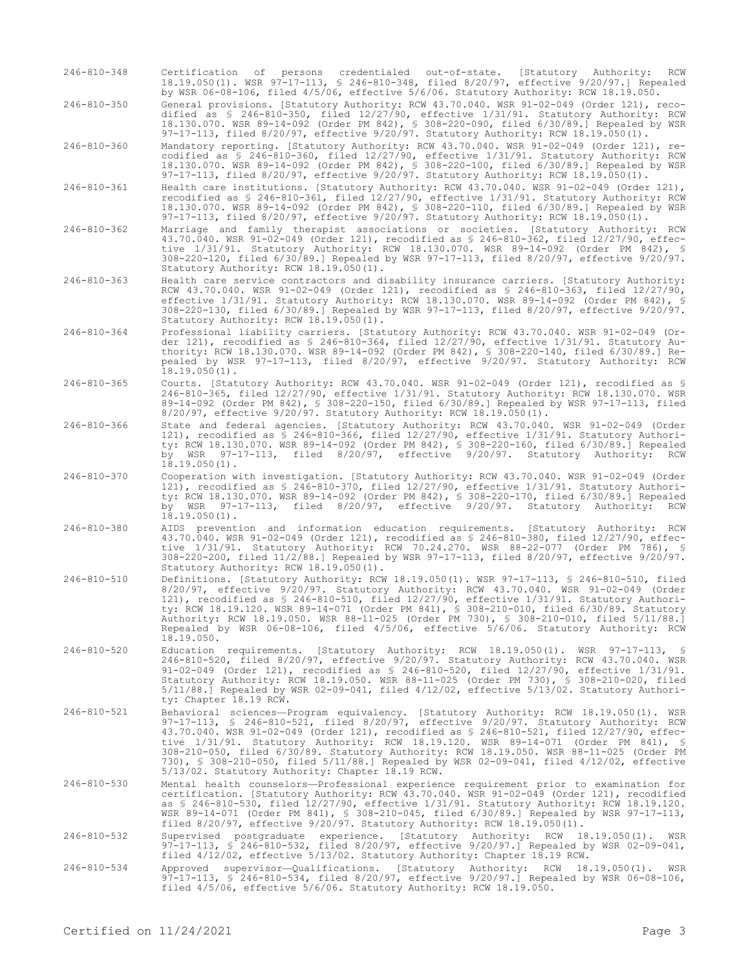246-810-348 Certification of persons credentialed out-of-state. [Statutory Authority: RCW 18.19.050(1). WSR 97-17-113, § 246-810-348, filed 8/20/97, effective 9/20/97.] Repealed by WSR 06-08-106, filed 4/5/06, effective 5/6/06. Statutory Authority: RCW 18.19.050.

246-810-350 General provisions. [Statutory Authority: RCW 43.70.040. WSR 91-02-049 (Order 121), recodified as § 246-810-350, filed 12/27/90, effective 1/31/91. Statutory Authority: RCW 18.130.070. WSR 89-14-092 (Order PM 842), § 308-220-090, filed 6/30/89.] Repealed by WSR 97-17-113, filed 8/20/97, effective 9/20/97. Statutory Authority: RCW 18.19.050(1).

246-810-360 Mandatory reporting. [Statutory Authority: RCW 43.70.040. WSR 91-02-049 (Order 121), recodified as § 246-810-360, filed 12/27/90, effective 1/31/91. Statutory Authority: RCW 18.130.070. WSR 89-14-092 (Order PM 842), § 308-220-100, filed 6/30/89.] Repealed by WSR 97-17-113, filed 8/20/97, effective 9/20/97. Statutory Authority: RCW 18.19.050(1).

246-810-361 Health care institutions. [Statutory Authority: RCW 43.70.040. WSR 91-02-049 (Order 121), recodified as § 246-810-361, filed 12/27/90, effective 1/31/91. Statutory Authority: RCW 18.130.070. WSR 89-14-092 (Order PM 842), § 308-220-110, filed 6/30/89.] Repealed by WSR 97-17-113, filed 8/20/97, effective 9/20/97. Statutory Authority: RCW 18.19.050(1).

246-810-362 Marriage and family therapist associations or societies. [Statutory Authority: RCW 43.70.040. WSR 91-02-049 (Order 121), recodified as § 246-810-362, filed 12/27/90, effective 1/31/91. Statutory Authority: RCW 18.130.070. WSR 89-14-092 (Order PM 842), § 308-220-120, filed 6/30/89.] Repealed by WSR 97-17-113, filed 8/20/97, effective 9/20/97. Statutory Authority: RCW 18.19.050(1).

246-810-363 Health care service contractors and disability insurance carriers. [Statutory Authority: RCW 43.70.040. WSR 91-02-049 (Order 121), recodified as § 246-810-363, filed 12/27/90, effective 1/31/91. Statutory Authority: RCW 18.130.070. WSR 89-14-092 (Order PM 842), § 308-220-130, filed 6/30/89.] Repealed by WSR 97-17-113, filed 8/20/97, effective 9/20/97. Statutory Authority: RCW 18.19.050(1).

- 246-810-364 Professional liability carriers. [Statutory Authority: RCW 43.70.040. WSR 91-02-049 (Order 121), recodified as § 246-810-364, filed 12/27/90, effective 1/31/91. Statutory Authority: RCW 18.130.070. WSR 89-14-092 (Order PM 842), § 308-220-140, filed 6/30/89.] Repealed by WSR 97-17-113, filed 8/20/97, effective 9/20/97. Statutory Authority: RCW  $18.19.050(1)$ .
- 246-810-365 Courts. [Statutory Authority: RCW 43.70.040. WSR 91-02-049 (Order 121), recodified as § 246-810-365, filed 12/27/90, effective 1/31/91. Statutory Authority: RCW 18.130.070. WSR 89-14-092 (Order PM 842), § 308-220-150, filed 6/30/89.] Repealed by WSR 97-17-113, filed 8/20/97, effective 9/20/97. Statutory Authority: RCW 18.19.050(1).

246-810-366 State and federal agencies. [Statutory Authority: RCW 43.70.040. WSR 91-02-049 (Order 121), recodified as § 246-810-366, filed 12/27/90, effective 1/31/91. Statutory Authority: RCW 18.130.070. WSR 89-14-092 (Order PM 842), § 308-220-160, filed 6/30/89.] Repealed by WSR 97-17-113, filed 8/20/97, effective 9/20/97. Statutory Authority: RCW 18.19.050(1).

- 246-810-370 Cooperation with investigation. [Statutory Authority: RCW 43.70.040. WSR 91-02-049 (Order 121), recodified as § 246-810-370, filed 12/27/90, effective 1/31/91. Statutory Authority: RCW 18.130.070. WSR 89-14-092 (Order PM 842), § 308-220-170, filed 6/30/89.] Repealed by WSR 97-17-113, filed 8/20/97, effective 9/20/97. Statutory Authority: RCW  $18.19.050(1)$ .
- 246-810-380 AIDS prevention and information education requirements. [Statutory Authority: RCW 43.70.040. WSR 91-02-049 (Order 121), recodified as § 246-810-380, filed 12/27/90, effective 1/31/91. Statutory Authority: RCW 70.24.270. WSR 88-22-077 (Order PM 786), § 308-220-200, filed 11/2/88.] Repealed by WSR 97-17-113, filed 8/20/97, effective 9/20/97. Statutory Authority: RCW 18.19.050(1).
- 246-810-510 Definitions. [Statutory Authority: RCW 18.19.050(1). WSR 97-17-113, § 246-810-510, filed 8/20/97, effective 9/20/97. Statutory Authority: RCW 43.70.040. WSR 91-02-049 (Order 121), recodified as § 246-810-510, filed 12/27/90, effective 1/31/91. Statutory Authority: RCW 18.19.120. WSR 89-14-071 (Order PM 841), § 308-210-010, filed 6/30/89. Statutory Authority: RCW 18.19.050. WSR 88-11-025 (Order PM 730), § 308-210-010, filed 5/11/88.] Repealed by WSR 06-08-106, filed 4/5/06, effective 5/6/06. Statutory Authority: RCW 18.19.050.
- 246-810-520 Education requirements. [Statutory Authority: RCW 18.19.050(1). WSR 97-17-113, § 246-810-520, filed 8/20/97, effective 9/20/97. Statutory Authority: RCW 43.70.040. WSR 91-02-049 (Order 121), recodified as § 246-810-520, filed 12/27/90, effective 1/31/91. Statutory Authority: RCW 18.19.050. WSR 88-11-025 (Order PM 730), § 308-210-020, filed 5/11/88.] Repealed by WSR 02-09-041, filed 4/12/02, effective 5/13/02. Statutory Authority: Chapter 18.19 RCW.
- 246-810-521 Behavioral sciences—Program equivalency. [Statutory Authority: RCW 18.19.050(1). WSR 97-17-113, § 246-810-521, filed 8/20/97, effective 9/20/97. Statutory Authority: RCW 43.70.040. WSR 91-02-049 (Order 121), recodified as § 246-810-521, filed 12/27/90, effective 1/31/91. Statutory Authority: RCW 18.19.120. WSR 89-14-071 (Order PM 841), § 308-210-050, filed 6/30/89. Statutory Authority: RCW 18.19.050. WSR 88-11-025 (Order PM 730), § 308-210-050, filed 5/11/88.] Repealed by WSR 02-09-041, filed 4/12/02, effective 5/13/02. Statutory Authority: Chapter 18.19 RCW.
- 246-810-530 Mental health counselors—Professional experience requirement prior to examination for certification. [Statutory Authority: RCW 43.70.040. WSR 91-02-049 (Order 121), recodified as \$ 246-810-530, filed 12/27/90, effective 1/31/91. Statutory Authority: RCW 18.19.120.<br>WSR 89-14-071 (Order PM 841), \$ 308-210-045, filed 6/30/89.] Repealed by WSR 97-17-113,<br>filed 8/20/97, effective 9/20/97. Statutory A

246-810-532 Supervised postgraduate experience. [Statutory Authority: RCW 18.19.050(1). WSR 97-17-113, § 246-810-532, filed 8/20/97, effective 9/20/97.] Repealed by WSR 02-09-041, filed 4/12/02, effective 5/13/02. Statutory Authority: Chapter 18.19 RCW.

246-810-534 Approved supervisor—Qualifications. [Statutory Authority: RCW 18.19.050(1). WSR 97-17-113, § 246-810-534, filed 8/20/97, effective 9/20/97.] Repealed by WSR 06-08-106, filed 4/5/06, effective 5/6/06. Statutory Authority: RCW 18.19.050.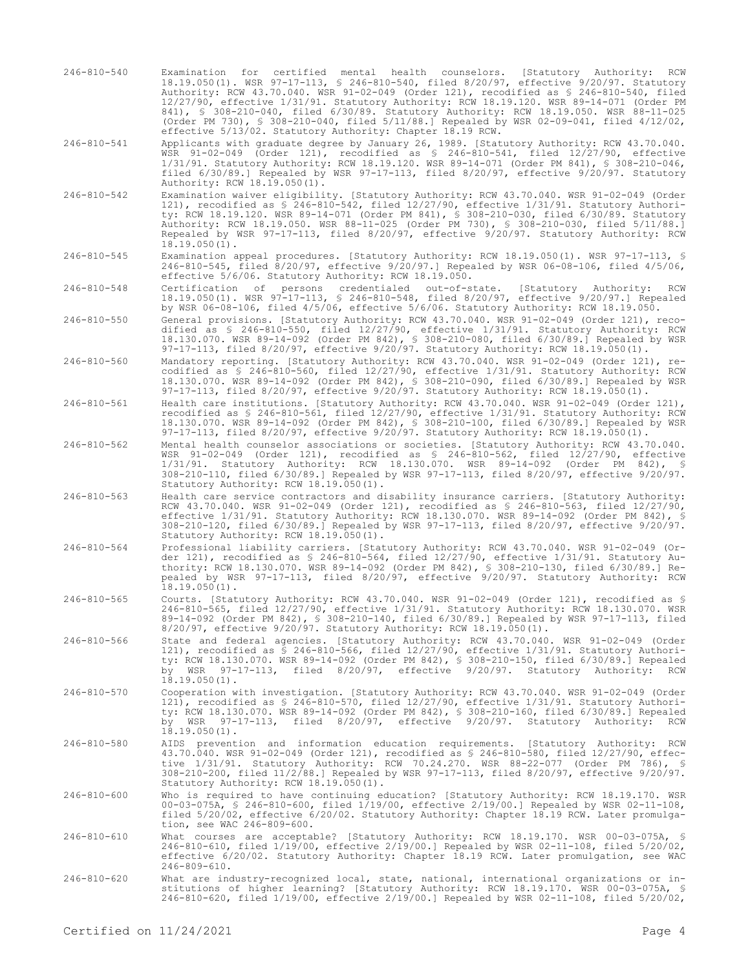246-810-540 Examination for certified mental health counselors. [Statutory Authority: RCW 18.19.050(1). WSR 97-17-113, § 246-810-540, filed 8/20/97, effective 9/20/97. Statutory Authority: RCW 43.70.040. WSR 91-02-049 (Order 121), recodified as § 246-810-540, filed 12/27/90, effective 1/31/91. Statutory Authority: RCW 18.19.120. WSR 89-14-071 (Order PM 841), § 308-210-040, filed 6/30/89. Statutory Authority: RCW 18.19.050. WSR 88-11-025 (Order PM 730), § 308-210-040, filed 5/11/88.] Repealed by WSR 02-09-041, filed 4/12/02, effective 5/13/02. Statutory Authority: Chapter 18.19 RCW.

246-810-541 Applicants with graduate degree by January 26, 1989. [Statutory Authority: RCW 43.70.040. WSR 91-02-049 (Order 121), recodified as § 246-810-541, filed 12/27/90, effective 1/31/91. Statutory Authority: RCW 18.19.120. WSR 89-14-071 (Order PM 841), § 308-210-046, filed 6/30/89.] Repealed by WSR 97-17-113, filed 8/20/97, effective 9/20/97. Statutory Authority: RCW 18.19.050(1).

- 246-810-542 Examination waiver eligibility. [Statutory Authority: RCW 43.70.040. WSR 91-02-049 (Order 121), recodified as § 246-810-542, filed 12/27/90, effective 1/31/91. Statutory Authority: RCW 18.19.120. WSR 89-14-071 (Order PM 841), § 308-210-030, filed 6/30/89. Statutory Authority: RCW 18.19.050. WSR 88-11-025 (Order PM 730), § 308-210-030, filed 5/11/88.] Repealed by WSR 97-17-113, filed 8/20/97, effective 9/20/97. Statutory Authority: RCW  $18.19.050(1)$ .
- 246-810-545 Examination appeal procedures. [Statutory Authority: RCW 18.19.050(1). WSR 97-17-113, § 246-810-545, filed 8/20/97, effective 9/20/97.] Repealed by WSR 06-08-106, filed 4/5/06, effective 5/6/06. Statutory Authority: RCW 18.19.050.

246-810-548 Certification of persons credentialed out-of-state. [Statutory Authority: RCW 18.19.050(1). WSR 97-17-113, § 246-810-548, filed 8/20/97, effective 9/20/97.] Repealed by WSR 06-08-106, filed 4/5/06, effective 5/6/06. Statutory Authority: RCW 18.19.050.

- 246-810-550 General provisions. [Statutory Authority: RCW 43.70.040. WSR 91-02-049 (Order 121), recodified as § 246-810-550, filed 12/27/90, effective 1/31/91. Statutory Authority: RCW 18.130.070. WSR 89-14-092 (Order PM 842), § 308-210-080, filed 6/30/89.] Repealed by WSR 97-17-113, filed 8/20/97, effective 9/20/97. Statutory Authority: RCW 18.19.050(1).
- 246-810-560 Mandatory reporting. [Statutory Authority: RCW 43.70.040. WSR 91-02-049 (Order 121), recodified as § 246-810-560, filed 12/27/90, effective 1/31/91. Statutory Authority: RCW 18.130.070. WSR 89-14-092 (Order PM 842), § 308-210-090, filed 6/30/89.] Repealed by WSR 97-17-113, filed 8/20/97, effective 9/20/97. Statutory Authority: RCW 18.19.050(1).
- 246-810-561 Health care institutions. [Statutory Authority: RCW 43.70.040. WSR 91-02-049 (Order 121), recodified as § 246-810-561, filed 12/27/90, effective 1/31/91. Statutory Authority: RCW 18.130.070. WSR 89-14-092 (Order PM 842), § 308-210-100, filed 6/30/89.] Repealed by WSR 97-17-113, filed 8/20/97, effective 9/20/97. Statutory Authority: RCW 18.19.050(1).

246-810-562 Mental health counselor associations or societies. [Statutory Authority: RCW 43.70.040. WSR 91-02-049 (Order 121), recodified as § 246-810-562, filed 12/27/90, effective 1/31/91. Statutory Authority: RCW 18.130.070. WSR 89-14-092 (Order PM 842), § 308-210-110, filed 6/30/89.] Repealed by WSR 97-17-113, filed 8/20/97, effective 9/20/97. Statutory Authority: RCW 18.19.050(1).

- 246-810-563 Health care service contractors and disability insurance carriers. [Statutory Authority: RCW 43.70.040. WSR 91-02-049 (Order 121), recodified as § 246-810-563, filed 12/27/90, effective 1/31/91. Statutory Authority: RCW 18.130.070. WSR 89-14-092 (Order PM 842), § 308-210-120, filed 6/30/89.] Repealed by WSR 97-17-113, filed 8/20/97, effective 9/20/97. Statutory Authority: RCW 18.19.050(1).
- 246-810-564 Professional liability carriers. [Statutory Authority: RCW 43.70.040. WSR 91-02-049 (Order 121), recodified as § 246-810-564, filed 12/27/90, effective 1/31/91. Statutory Authority: RCW 18.130.070. WSR 89-14-092 (Order PM 842), § 308-210-130, filed 6/30/89.] Repealed by WSR 97-17-113, filed 8/20/97, effective 9/20/97. Statutory Authority: RCW 18.19.050(1).
- 246-810-565 Courts. [Statutory Authority: RCW 43.70.040. WSR 91-02-049 (Order 121), recodified as § 246-810-565, filed 12/27/90, effective 1/31/91. Statutory Authority: RCW 18.130.070. WSR 89-14-092 (Order PM 842), § 308-210-140, filed 6/30/89.] Repealed by WSR 97-17-113, filed 8/20/97, effective 9/20/97. Statutory Authority: RCW 18.19.050(1).
- 246-810-566 State and federal agencies. [Statutory Authority: RCW 43.70.040. WSR 91-02-049 (Order 121), recodified as § 246-810-566, filed 12/27/90, effective 1/31/91. Statutory Authority: RCW 18.130.070. WSR 89-14-092 (Order PM 842), § 308-210-150, filed 6/30/89.] Repealed by WSR 97-17-113, filed 8/20/97, effective 9/20/97. Statutory Authority: RCW  $18.19.050(1)$ .
- 246-810-570 Cooperation with investigation. [Statutory Authority: RCW 43.70.040. WSR 91-02-049 (Order 121), recodified as § 246-810-570, filed 12/27/90, effective 1/31/91. Statutory Authority: RCW 18.130.070. WSR 89-14-092 (Order PM 842), § 308-210-160, filed 6/30/89.] Repealed by WSR 97-17-113, filed 8/20/97, effective 9/20/97. Statutory Authority: RCW  $18.19.050(1)$ .
- 246-810-580 AIDS prevention and information education requirements. [Statutory Authority: RCW 43.70.040. WSR 91-02-049 (Order 121), recodified as § 246-810-580, filed 12/27/90, effective 1/31/91. Statutory Authority: RCW 70.24.270. WSR 88-22-077 (Order PM 786), § 308-210-200, filed 11/2/88.] Repealed by WSR 97-17-113, filed 8/20/97, effective 9/20/97. Statutory Authority: RCW 18.19.050(1).
- 246-810-600 Who is required to have continuing education? [Statutory Authority: RCW 18.19.170. WSR 00-03-075A, § 246-810-600, filed 1/19/00, effective 2/19/00.] Repealed by WSR 02-11-108, filed 5/20/02, effective 6/20/02. Statutory Authority: Chapter 18.19 RCW. Later promulgation, see WAC 246-809-600.
- 246-810-610 What courses are acceptable? [Statutory Authority: RCW 18.19.170. WSR 00-03-075A, § 246-810-610, filed 1/19/00, effective 2/19/00.] Repealed by WSR 02-11-108, filed 5/20/02, effective 6/20/02. Statutory Authority: Chapter 18.19 RCW. Later promulgation, see WAC 246-809-610.
- 246-810-620 What are industry-recognized local, state, national, international organizations or in-stitutions of higher learning? [Statutory Authority: RCW 18.19.170. WSR 00-03-075A, § 246-810-620, filed 1/19/00, effective 2/19/00.] Repealed by WSR 02-11-108, filed 5/20/02,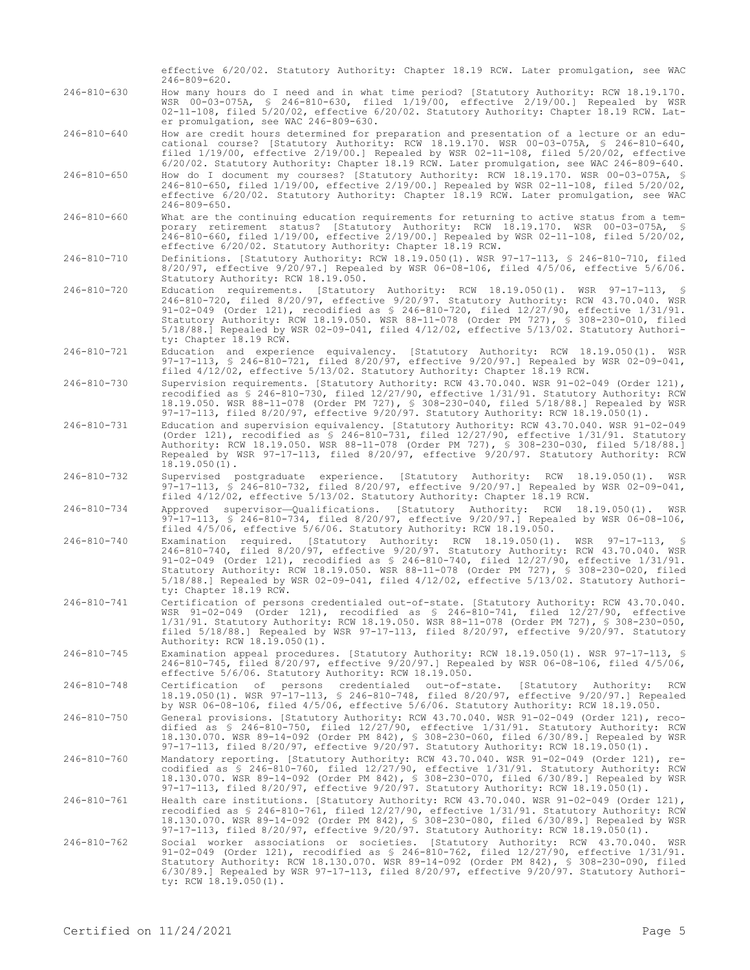|                   | effective 6/20/02. Statutory Authority: Chapter 18.19 RCW. Later promulgation, see WAC<br>$246 - 809 - 620$ .                                                                                                                                                                                                                                                                                                                                                                                          |
|-------------------|--------------------------------------------------------------------------------------------------------------------------------------------------------------------------------------------------------------------------------------------------------------------------------------------------------------------------------------------------------------------------------------------------------------------------------------------------------------------------------------------------------|
| $246 - 810 - 630$ | How many hours do I need and in what time period? [Statutory Authority: RCW 18.19.170.<br>WSR 00-03-075A, § 246-810-630, filed 1/19/00, effective 2/19/00.] Repealed by WSR<br>02-11-108, filed 5/20/02, effective 6/20/02. Statutory Authority: Chapter 18.19 RCW. Lat-<br>er promulgation, see WAC 246-809-630.                                                                                                                                                                                      |
| 246-810-640       | How are credit hours determined for preparation and presentation of a lecture or an edu-<br>cational course? [Statutory Authority: RCW 18.19.170. WSR 00-03-075A, \$ 246-810-640,<br>filed $1/19/00$ , effective $2/19/00$ . Repealed by WSR 02-11-108, filed $5/20/02$ , effective<br>6/20/02. Statutory Authority: Chapter 18.19 RCW. Later promulgation, see WAC 246-809-640.                                                                                                                       |
| 246-810-650       | How do I document my courses? [Statutory Authority: RCW 18.19.170. WSR 00-03-075A, §<br>246-810-650, filed 1/19/00, effective 2/19/00.] Repealed by WSR 02-11-108, filed 5/20/02,<br>effective 6/20/02. Statutory Authority: Chapter 18.19 RCW. Later promulgation, see WAC<br>$246 - 809 - 650$ .                                                                                                                                                                                                     |
| $246 - 810 - 660$ | What are the continuing education requirements for returning to active status from a tem-<br>porary retirement status? [Statutory Authority: RCW 18.19.170. WSR 00-03-075A, §<br>246-810-660, filed 1/19/00, effective 2/19/00.] Repealed by WSR 02-11-108, filed 5/20/02,<br>effective 6/20/02. Statutory Authority: Chapter 18.19 RCW.                                                                                                                                                               |
| 246-810-710       | Definitions. [Statutory Authority: RCW 18.19.050(1). WSR 97-17-113, § 246-810-710, filed<br>$8/20/97$ , effective $9/20/97$ .] Repealed by WSR 06-08-106, filed $4/5/06$ , effective $5/6/06$ .<br>Statutory Authority: RCW 18.19.050.                                                                                                                                                                                                                                                                 |
| 246-810-720       | Education requirements. [Statutory Authority: RCW 18.19.050(1). WSR 97-17-113, §<br>246-810-720, filed 8/20/97, effective 9/20/97. Statutory Authority: RCW 43.70.040. WSR<br>91-02-049 (Order 121), recodified as $$246-810-720$ , filed $12/27/90$ , effective $1/31/91$ .<br>Statutory Authority: RCW 18.19.050. WSR 88-11-078 (Order PM 727), § 308-230-010, filed<br>$5/18/88$ .] Repealed by WSR 02-09-041, filed $4/12/02$ , effective $5/13/02$ . Statutory Authori-<br>ty: Chapter 18.19 RCW. |
| 246-810-721       | Education and experience equivalency. [Statutory Authority: RCW 18.19.050(1). WSR<br>97-17-113, § 246-810-721, filed 8/20/97, effective 9/20/97.] Repealed by WSR 02-09-041,<br>filed 4/12/02, effective 5/13/02. Statutory Authority: Chapter 18.19 RCW.                                                                                                                                                                                                                                              |
| 246-810-730       | Supervision requirements. [Statutory Authority: RCW 43.70.040. WSR 91-02-049 (Order 121),<br>recodified as § 246-810-730, filed 12/27/90, effective 1/31/91. Statutory Authority: RCW<br>18.19.050. WSR 88-11-078 (Order PM 727), § 308-230-040, filed 5/18/88.] Repealed by WSR<br>97-17-113, filed 8/20/97, effective 9/20/97. Statutory Authority: RCW 18.19.050(1).                                                                                                                                |
| 246-810-731       | Education and supervision equivalency. [Statutory Authority: RCW 43.70.040. WSR 91-02-049<br>(Order 121), recodified as $$246-810-731$ , filed $12/27/90$ , effective $1/31/91$ . Statutory<br>Authority: RCW 18.19.050. WSR 88-11-078 (Order PM 727), § 308-230-030, filed 5/18/88.]<br>Repealed by WSR 97-17-113, filed 8/20/97, effective 9/20/97. Statutory Authority: RCW<br>$18.19.050(1)$ .                                                                                                     |
| 246-810-732       | Supervised postgraduate experience. [Statutory Authority: RCW 18.19.050(1). WSR<br>97-17-113, \$ 246-810-732, filed 8/20/97, effective 9/20/97.] Repealed by WSR 02-09-041,<br>filed 4/12/02, effective 5/13/02. Statutory Authority: Chapter 18.19 RCW.                                                                                                                                                                                                                                               |
| 246-810-734       | Approved supervisor—Qualifications. [Statutory Authority: RCW<br>18.19.050(1).<br>WSR<br>97-17-113, \$ 246-810-734, filed 8/20/97, effective 9/20/97.] Repealed by WSR 06-08-106,<br>filed 4/5/06, effective 5/6/06. Statutory Authority: RCW 18.19.050.                                                                                                                                                                                                                                               |
| 246-810-740       | Examination required. [Statutory Authority: RCW 18.19.050(1). WSR 97-17-113, §<br>246-810-740, filed 8/20/97, effective 9/20/97. Statutory Authority: RCW 43.70.040. WSR<br>91-02-049 (Order 121), recodified as $$ 246-810-740$ , filed $12/27/90$ , effective $1/31/91$ .<br>Statutory Authority: RCW 18.19.050. WSR 88-11-078 (Order PM 727), § 308-230-020, filed<br>$5/18/88$ .] Repealed by WSR 02-09-041, filed $4/12/02$ , effective $5/13/02$ . Statutory Authori-<br>ty: Chapter 18.19 RCW.  |
| 246-810-741       | Certification of persons credentialed out-of-state. [Statutory Authority: RCW 43.70.040.<br>WSR 91-02-049 (Order 121), recodified as \$ 246-810-741, filed 12/27/90, effective<br>1/31/91. Statutory Authority: RCW 18.19.050. WSR 88-11-078 (Order PM 727), § 308-230-050,<br>filed $5/18/88$ .] Repealed by WSR $97-17-113$ , filed $8/20/97$ , effective $9/20/97$ . Statutory<br>Authority: RCW 18.19.050(1).                                                                                      |
| 246-810-745       | Examination appeal procedures. [Statutory Authority: RCW 18.19.050(1). WSR 97-17-113, §<br>246-810-745, filed 8/20/97, effective 9/20/97.] Repealed by WSR 06-08-106, filed 4/5/06,<br>effective 5/6/06. Statutory Authority: RCW 18.19.050.                                                                                                                                                                                                                                                           |
| 246-810-748       | Certification of persons credentialed out-of-state. [Statutory Authority:<br>RCW<br>18.19.050(1). WSR 97-17-113, § 246-810-748, filed 8/20/97, effective 9/20/97.] Repealed<br>by WSR 06-08-106, filed 4/5/06, effective 5/6/06. Statutory Authority: RCW 18.19.050.                                                                                                                                                                                                                                   |
| $246 - 810 - 750$ | General provisions. [Statutory Authority: RCW 43.70.040. WSR 91-02-049 (Order 121), reco-<br>dified as \$ 246-810-750, filed 12/27/90, effective 1/31/91. Statutory Authority: RCW<br>18.130.070. WSR 89-14-092 (Order PM 842), § 308-230-060, filed 6/30/89.] Repealed by WSR<br>97-17-113, filed $8/20/97$ , effective $9/20/97$ . Statutory Authority: RCW 18.19.050(1).                                                                                                                            |
| 246-810-760       | Mandatory reporting. [Statutory Authority: RCW 43.70.040. WSR 91-02-049 (Order 121), re-<br>codified as § 246-810-760, filed 12/27/90, effective 1/31/91. Statutory Authority: RCW<br>18.130.070. WSR 89-14-092 (Order PM 842), \$ 308-230-070, filed 6/30/89.] Repealed by WSR<br>97-17-113, filed 8/20/97, effective 9/20/97. Statutory Authority: RCW 18.19.050(1).                                                                                                                                 |
| 246-810-761       | Health care institutions. [Statutory Authority: RCW 43.70.040. WSR 91-02-049 (Order 121),<br>recodified as § 246-810-761, filed 12/27/90, effective 1/31/91. Statutory Authority: RCW<br>18.130.070. WSR 89-14-092 (Order PM 842), § 308-230-080, filed 6/30/89.] Repealed by WSR<br>97-17-113, filed $8/20/97$ , effective $9/20/97$ . Statutory Authority: RCW 18.19.050(1).                                                                                                                         |
| 246-810-762       | Social worker associations or societies. [Statutory Authority: RCW 43.70.040. WSR<br>91-02-049 (Order 121), recodified as $$246-810-762$ , filed $12/27/90$ , effective $1/31/91$ .<br>Statutory Authority: RCW 18.130.070. WSR 89-14-092 (Order PM 842), § 308-230-090, filed<br>$6/30/89$ .] Repealed by WSR 97-17-113, filed 8/20/97, effective 9/20/97. Statutory Authori-<br>ty: RCW 18.19.050(1).                                                                                                |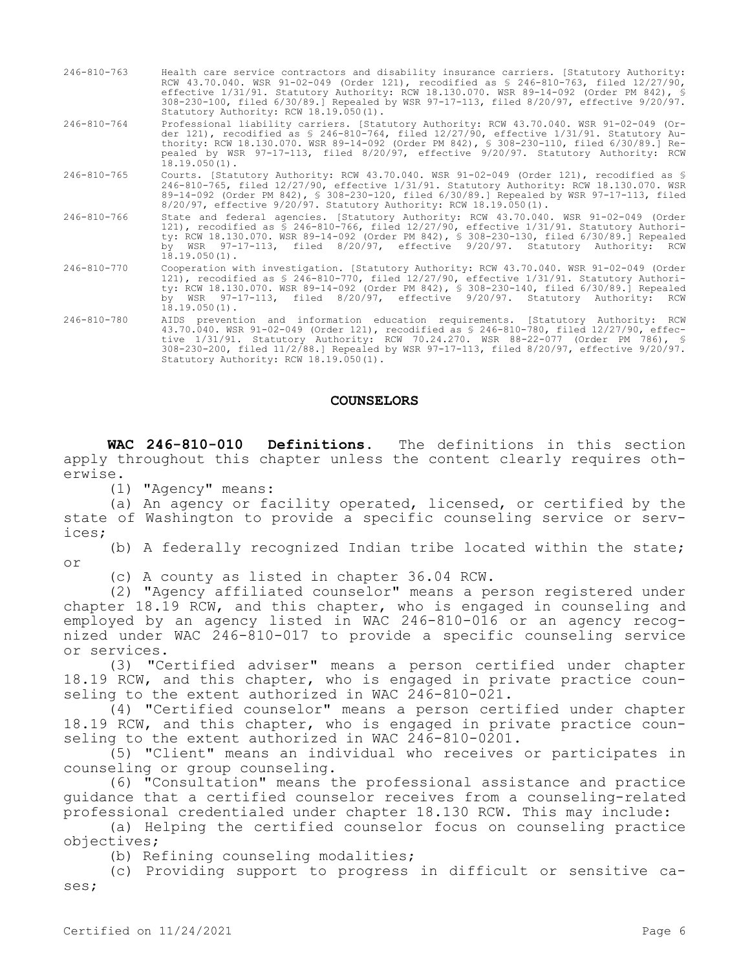- 246-810-763 Health care service contractors and disability insurance carriers. [Statutory Authority: RCW 43.70.040. WSR 91-02-049 (Order 121), recodified as § 246-810-763, filed 12/27/90, effective 1/31/91. Statutory Authority: RCW 18.130.070. WSR 89-14-092 (Order PM 842), § 308-230-100, filed 6/30/89.] Repealed by WSR 97-17-113, filed 8/20/97, effective 9/20/97. Statutory Authority: RCW 18.19.050(1).
- 246-810-764 Professional liability carriers. [Statutory Authority: RCW 43.70.040. WSR 91-02-049 (Order 121), recodified as § 246-810-764, filed 12/27/90, effective 1/31/91. Statutory Authority: RCW 18.130.070. WSR 89-14-092 (Order PM 842), § 308-230-110, filed 6/30/89.] Repealed by WSR 97-17-113, filed 8/20/97, effective 9/20/97. Statutory Authority: RCW  $18.19.050(1)$ .
- 246-810-765 Courts. [Statutory Authority: RCW 43.70.040. WSR 91-02-049 (Order 121), recodified as § 246-810-765, filed 12/27/90, effective 1/31/91. Statutory Authority: RCW 18.130.070. WSR 89-14-092 (Order PM 842), § 308-230-120, filed 6/30/89.] Repealed by WSR 97-17-113, filed 8/20/97, effective 9/20/97. Statutory Authority: RCW 18.19.050(1).
- 246-810-766 State and federal agencies. [Statutory Authority: RCW 43.70.040. WSR 91-02-049 (Order 121), recodified as § 246-810-766, filed 12/27/90, effective 1/31/91. Statutory Authority: RCW 18.130.070. WSR 89-14-092 (Order PM 842), § 308-230-130, filed 6/30/89.] Repealed by WSR 97-17-113, filed 8/20/97, effective 9/20/97. Statutory Authority: RCW  $18.19.050(1)$ .
- 246-810-770 Cooperation with investigation. [Statutory Authority: RCW 43.70.040. WSR 91-02-049 (Order 121), recodified as § 246-810-770, filed 12/27/90, effective 1/31/91. Statutory Authority: RCW 18.130.070. WSR 89-14-092 (Order PM 842), § 308-230-140, filed 6/30/89.] Repealed by WSR 97-17-113, filed 8/20/97, effective 9/20/97. Statutory Authority: RCW  $18.19.050(1)$ .
- 246-810-780 AIDS prevention and information education requirements. [Statutory Authority: RCW 43.70.040. WSR 91-02-049 (Order 121), recodified as § 246-810-780, filed 12/27/90, effective 1/31/91. Statutory Authority: RCW 70.24.270. WSR 88-22-077 (Order PM 786), § 308-230-200, filed 11/2/88.] Repealed by WSR 97-17-113, filed 8/20/97, effective 9/20/97. Statutory Authority: RCW 18.19.050(1).

#### **COUNSELORS**

**WAC 246-810-010 Definitions.** The definitions in this section apply throughout this chapter unless the content clearly requires otherwise.

(1) "Agency" means:

(a) An agency or facility operated, licensed, or certified by the state of Washington to provide a specific counseling service or services;

(b) A federally recognized Indian tribe located within the state; or

(c) A county as listed in chapter 36.04 RCW.

(2) "Agency affiliated counselor" means a person registered under chapter 18.19 RCW, and this chapter, who is engaged in counseling and employed by an agency listed in WAC 246-810-016 or an agency recognized under WAC 246-810-017 to provide a specific counseling service or services.

(3) "Certified adviser" means a person certified under chapter 18.19 RCW, and this chapter, who is engaged in private practice counseling to the extent authorized in WAC 246-810-021.

(4) "Certified counselor" means a person certified under chapter 18.19 RCW, and this chapter, who is engaged in private practice counseling to the extent authorized in WAC 246-810-0201.

(5) "Client" means an individual who receives or participates in counseling or group counseling.

(6) "Consultation" means the professional assistance and practice guidance that a certified counselor receives from a counseling-related professional credentialed under chapter 18.130 RCW. This may include:

(a) Helping the certified counselor focus on counseling practice objectives;

(b) Refining counseling modalities;

(c) Providing support to progress in difficult or sensitive cases;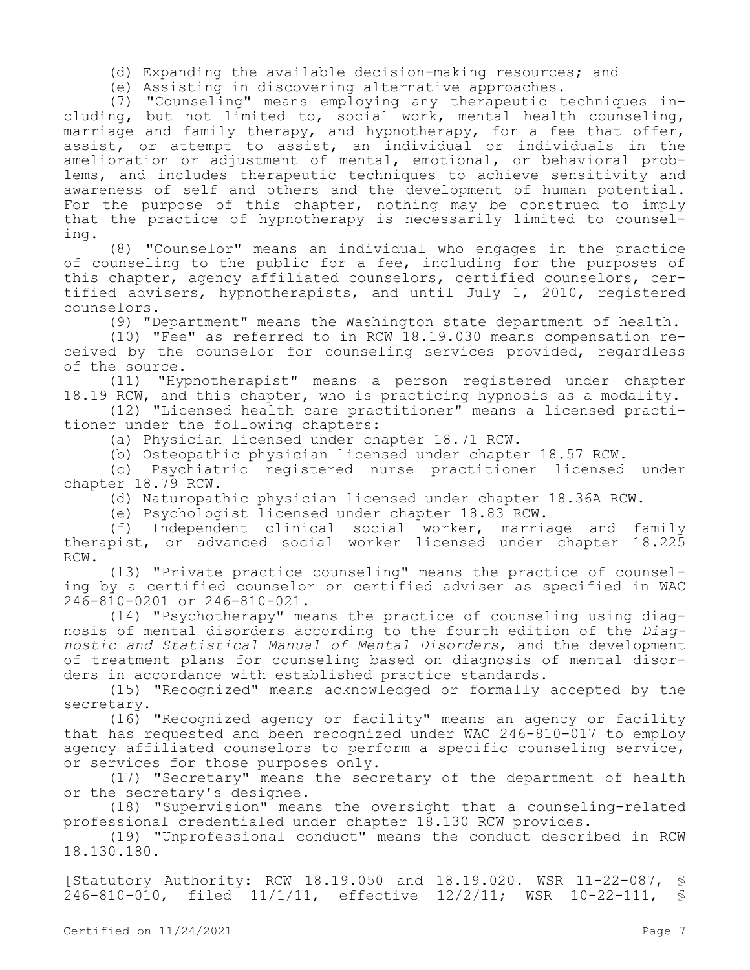(d) Expanding the available decision-making resources; and

(e) Assisting in discovering alternative approaches.

(7) "Counseling" means employing any therapeutic techniques including, but not limited to, social work, mental health counseling, marriage and family therapy, and hypnotherapy, for a fee that offer, assist, or attempt to assist, an individual or individuals in the amelioration or adjustment of mental, emotional, or behavioral problems, and includes therapeutic techniques to achieve sensitivity and awareness of self and others and the development of human potential. For the purpose of this chapter, nothing may be construed to imply that the practice of hypnotherapy is necessarily limited to counseling.

(8) "Counselor" means an individual who engages in the practice of counseling to the public for a fee, including for the purposes of this chapter, agency affiliated counselors, certified counselors, certified advisers, hypnotherapists, and until July 1, 2010, registered counselors.

(9) "Department" means the Washington state department of health.

(10) "Fee" as referred to in RCW 18.19.030 means compensation received by the counselor for counseling services provided, regardless of the source.

(11) "Hypnotherapist" means a person registered under chapter 18.19 RCW, and this chapter, who is practicing hypnosis as a modality.

(12) "Licensed health care practitioner" means a licensed practitioner under the following chapters:

(a) Physician licensed under chapter 18.71 RCW.

(b) Osteopathic physician licensed under chapter 18.57 RCW.

(c) Psychiatric registered nurse practitioner licensed under chapter 18.79 RCW.

(d) Naturopathic physician licensed under chapter 18.36A RCW.

(e) Psychologist licensed under chapter 18.83 RCW.

(f) Independent clinical social worker, marriage and family therapist, or advanced social worker licensed under chapter 18.225 RCW.

(13) "Private practice counseling" means the practice of counseling by a certified counselor or certified adviser as specified in WAC 246-810-0201 or 246-810-021.

(14) "Psychotherapy" means the practice of counseling using diagnosis of mental disorders according to the fourth edition of the *Diagnostic and Statistical Manual of Mental Disorders*, and the development of treatment plans for counseling based on diagnosis of mental disorders in accordance with established practice standards.

(15) "Recognized" means acknowledged or formally accepted by the secretary.

(16) "Recognized agency or facility" means an agency or facility that has requested and been recognized under WAC 246-810-017 to employ agency affiliated counselors to perform a specific counseling service, or services for those purposes only.

(17) "Secretary" means the secretary of the department of health or the secretary's designee.

(18) "Supervision" means the oversight that a counseling-related professional credentialed under chapter 18.130 RCW provides.

(19) "Unprofessional conduct" means the conduct described in RCW 18.130.180.

[Statutory Authority: RCW 18.19.050 and 18.19.020. WSR 11-22-087, § 246-810-010, filed 11/1/11, effective 12/2/11; WSR 10-22-111, §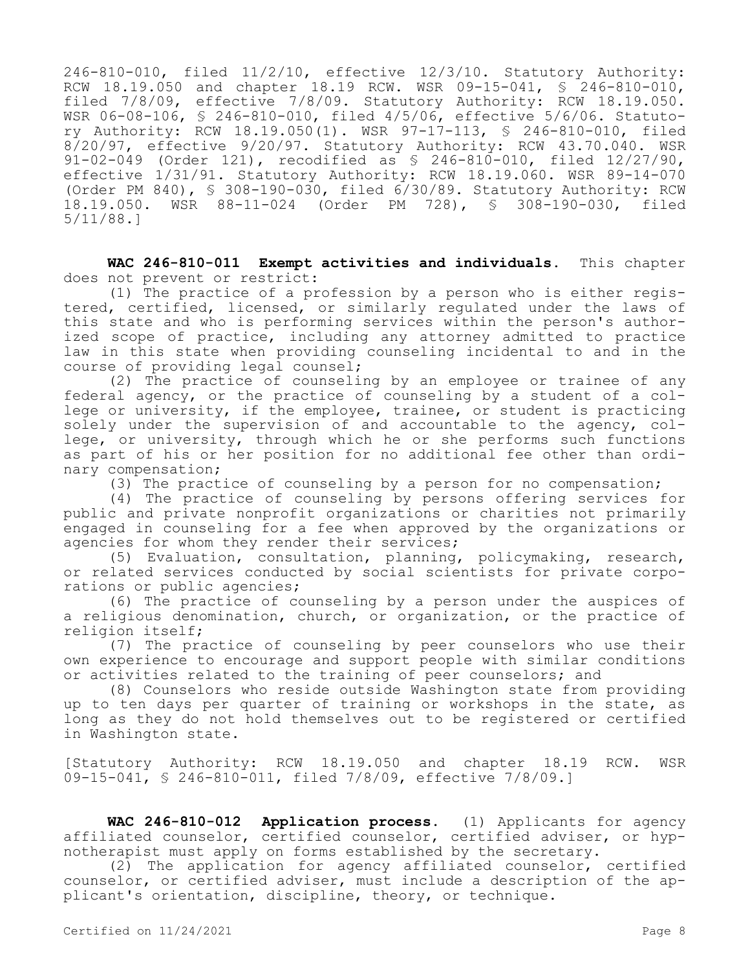246-810-010, filed 11/2/10, effective 12/3/10. Statutory Authority: RCW 18.19.050 and chapter 18.19 RCW. WSR 09-15-041, § 246-810-010, filed 7/8/09, effective 7/8/09. Statutory Authority: RCW 18.19.050. WSR 06-08-106, § 246-810-010, filed 4/5/06, effective 5/6/06. Statutory Authority: RCW 18.19.050(1). WSR 97-17-113, § 246-810-010, filed 8/20/97, effective 9/20/97. Statutory Authority: RCW 43.70.040. WSR 91-02-049 (Order 121), recodified as § 246-810-010, filed 12/27/90, effective 1/31/91. Statutory Authority: RCW 18.19.060. WSR 89-14-070 (Order PM 840), § 308-190-030, filed 6/30/89. Statutory Authority: RCW 18.19.050. WSR 88-11-024 (Order PM 728), § 308-190-030, filed 5/11/88.]

**WAC 246-810-011 Exempt activities and individuals.** This chapter does not prevent or restrict:

(1) The practice of a profession by a person who is either registered, certified, licensed, or similarly regulated under the laws of this state and who is performing services within the person's authorized scope of practice, including any attorney admitted to practice law in this state when providing counseling incidental to and in the course of providing legal counsel;

(2) The practice of counseling by an employee or trainee of any federal agency, or the practice of counseling by a student of a college or university, if the employee, trainee, or student is practicing solely under the supervision of and accountable to the agency, college, or university, through which he or she performs such functions as part of his or her position for no additional fee other than ordinary compensation;

(3) The practice of counseling by a person for no compensation;

(4) The practice of counseling by persons offering services for public and private nonprofit organizations or charities not primarily engaged in counseling for a fee when approved by the organizations or agencies for whom they render their services;

(5) Evaluation, consultation, planning, policymaking, research, or related services conducted by social scientists for private corporations or public agencies;

(6) The practice of counseling by a person under the auspices of a religious denomination, church, or organization, or the practice of religion itself;

(7) The practice of counseling by peer counselors who use their own experience to encourage and support people with similar conditions or activities related to the training of peer counselors; and

(8) Counselors who reside outside Washington state from providing up to ten days per quarter of training or workshops in the state, as long as they do not hold themselves out to be registered or certified in Washington state.

[Statutory Authority: RCW 18.19.050 and chapter 18.19 RCW. WSR 09-15-041, § 246-810-011, filed 7/8/09, effective 7/8/09.]

**WAC 246-810-012 Application process.** (1) Applicants for agency affiliated counselor, certified counselor, certified adviser, or hypnotherapist must apply on forms established by the secretary.

(2) The application for agency affiliated counselor, certified counselor, or certified adviser, must include a description of the applicant's orientation, discipline, theory, or technique.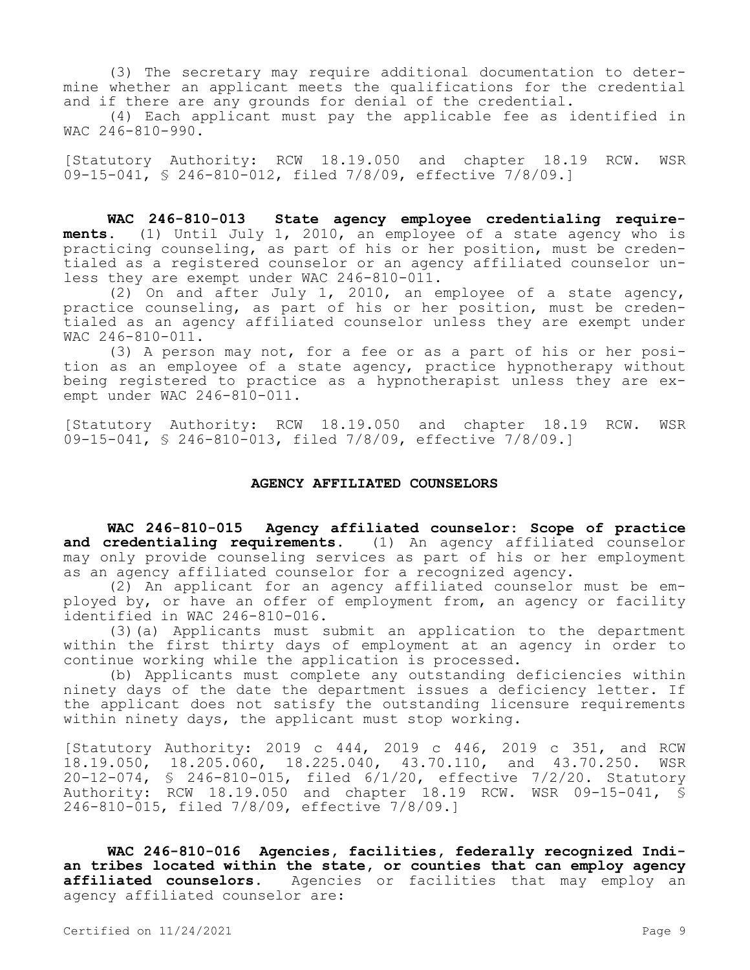(3) The secretary may require additional documentation to determine whether an applicant meets the qualifications for the credential and if there are any grounds for denial of the credential.

(4) Each applicant must pay the applicable fee as identified in WAC 246-810-990.

[Statutory Authority: RCW 18.19.050 and chapter 18.19 RCW. WSR 09-15-041, § 246-810-012, filed 7/8/09, effective 7/8/09.]

**WAC 246-810-013 State agency employee credentialing requirements.** (1) Until July 1, 2010, an employee of a state agency who is practicing counseling, as part of his or her position, must be credentialed as a registered counselor or an agency affiliated counselor unless they are exempt under WAC 246-810-011.

(2) On and after July 1, 2010, an employee of a state agency, practice counseling, as part of his or her position, must be credentialed as an agency affiliated counselor unless they are exempt under WAC 246-810-011.

(3) A person may not, for a fee or as a part of his or her position as an employee of a state agency, practice hypnotherapy without being registered to practice as a hypnotherapist unless they are exempt under WAC 246-810-011.

[Statutory Authority: RCW 18.19.050 and chapter 18.19 RCW. WSR 09-15-041, § 246-810-013, filed 7/8/09, effective 7/8/09.]

### **AGENCY AFFILIATED COUNSELORS**

**WAC 246-810-015 Agency affiliated counselor: Scope of practice**  and credentialing requirements. (1) An agency affiliated counselor may only provide counseling services as part of his or her employment as an agency affiliated counselor for a recognized agency.

(2) An applicant for an agency affiliated counselor must be employed by, or have an offer of employment from, an agency or facility identified in WAC 246-810-016.

(3)(a) Applicants must submit an application to the department within the first thirty days of employment at an agency in order to continue working while the application is processed.

(b) Applicants must complete any outstanding deficiencies within ninety days of the date the department issues a deficiency letter. If the applicant does not satisfy the outstanding licensure requirements within ninety days, the applicant must stop working.

[Statutory Authority: 2019 c 444, 2019 c 446, 2019 c 351, and RCW 18.19.050, 18.205.060, 18.225.040, 43.70.110, and 43.70.250. WSR 20-12-074, § 246-810-015, filed 6/1/20, effective 7/2/20. Statutory Authority: RCW 18.19.050 and chapter 18.19 RCW. WSR 09-15-041, § 246-810-015, filed 7/8/09, effective 7/8/09.]

**WAC 246-810-016 Agencies, facilities, federally recognized Indian tribes located within the state, or counties that can employ agency affiliated counselors.** Agencies or facilities that may employ an agency affiliated counselor are: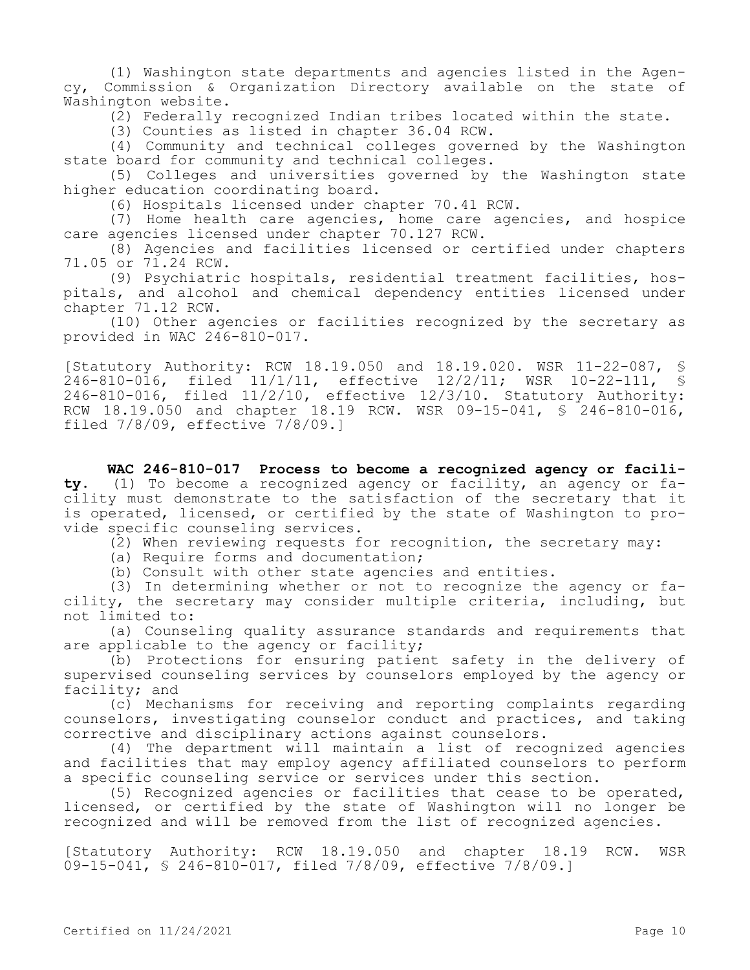(1) Washington state departments and agencies listed in the Agency, Commission & Organization Directory available on the state of Washington website.

(2) Federally recognized Indian tribes located within the state.

(3) Counties as listed in chapter 36.04 RCW.

(4) Community and technical colleges governed by the Washington state board for community and technical colleges.

(5) Colleges and universities governed by the Washington state higher education coordinating board.

(6) Hospitals licensed under chapter 70.41 RCW.

(7) Home health care agencies, home care agencies, and hospice care agencies licensed under chapter 70.127 RCW.

(8) Agencies and facilities licensed or certified under chapters 71.05 or 71.24 RCW.

(9) Psychiatric hospitals, residential treatment facilities, hospitals, and alcohol and chemical dependency entities licensed under chapter 71.12 RCW.

(10) Other agencies or facilities recognized by the secretary as provided in WAC 246-810-017.

[Statutory Authority: RCW 18.19.050 and 18.19.020. WSR 11-22-087, § 246-810-016, filed 11/1/11, effective 12/2/11; WSR 10-22-111, § 246-810-016, filed 11/2/10, effective 12/3/10. Statutory Authority: RCW 18.19.050 and chapter 18.19 RCW. WSR 09-15-041, § 246-810-016, filed 7/8/09, effective 7/8/09.]

**WAC 246-810-017 Process to become a recognized agency or facility.** (1) To become a recognized agency or facility, an agency or facility must demonstrate to the satisfaction of the secretary that it is operated, licensed, or certified by the state of Washington to provide specific counseling services.

(2) When reviewing requests for recognition, the secretary may:

(a) Require forms and documentation;

(b) Consult with other state agencies and entities.

(3) In determining whether or not to recognize the agency or facility, the secretary may consider multiple criteria, including, but not limited to:

(a) Counseling quality assurance standards and requirements that are applicable to the agency or facility;

(b) Protections for ensuring patient safety in the delivery of supervised counseling services by counselors employed by the agency or facility; and

(c) Mechanisms for receiving and reporting complaints regarding counselors, investigating counselor conduct and practices, and taking corrective and disciplinary actions against counselors.

(4) The department will maintain a list of recognized agencies and facilities that may employ agency affiliated counselors to perform a specific counseling service or services under this section.

(5) Recognized agencies or facilities that cease to be operated, licensed, or certified by the state of Washington will no longer be recognized and will be removed from the list of recognized agencies.

[Statutory Authority: RCW 18.19.050 and chapter 18.19 RCW. WSR 09-15-041, § 246-810-017, filed 7/8/09, effective 7/8/09.]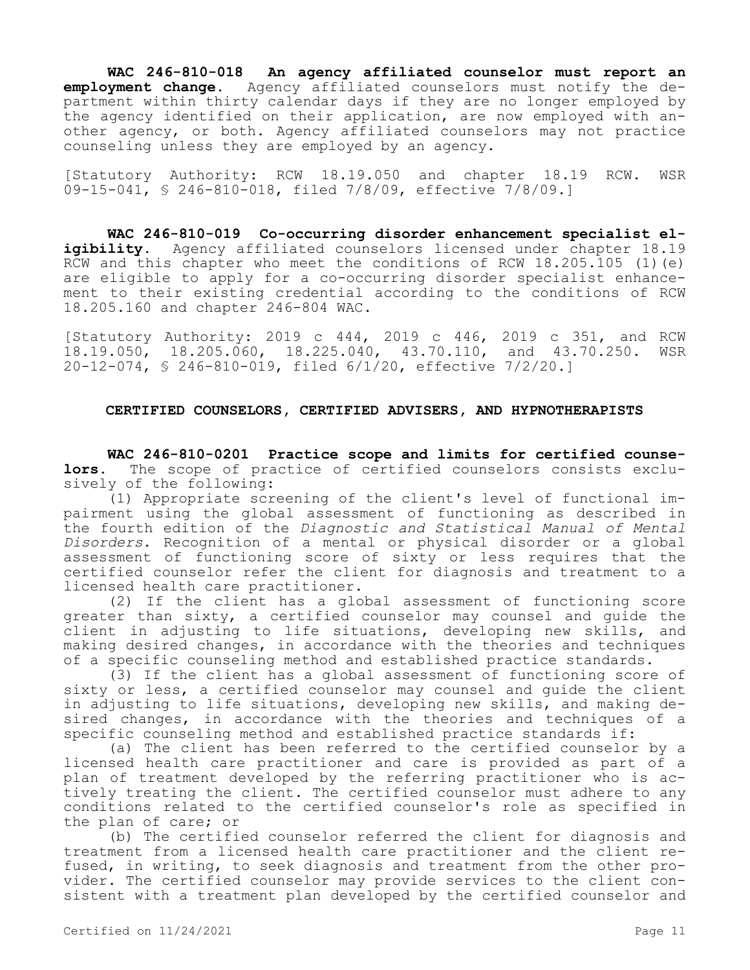**WAC 246-810-018 An agency affiliated counselor must report an employment change.** Agency affiliated counselors must notify the department within thirty calendar days if they are no longer employed by the agency identified on their application, are now employed with another agency, or both. Agency affiliated counselors may not practice counseling unless they are employed by an agency.

[Statutory Authority: RCW 18.19.050 and chapter 18.19 RCW. WSR 09-15-041, § 246-810-018, filed 7/8/09, effective 7/8/09.]

**WAC 246-810-019 Co-occurring disorder enhancement specialist eligibility.** Agency affiliated counselors licensed under chapter 18.19 RCW and this chapter who meet the conditions of RCW 18.205.105 (1)(e) are eligible to apply for a co-occurring disorder specialist enhancement to their existing credential according to the conditions of RCW 18.205.160 and chapter 246-804 WAC.

[Statutory Authority: 2019 c 444, 2019 c 446, 2019 c 351, and RCW 18.19.050, 18.205.060, 18.225.040, 43.70.110, and 43.70.250. WSR 20-12-074, § 246-810-019, filed 6/1/20, effective 7/2/20.]

## **CERTIFIED COUNSELORS, CERTIFIED ADVISERS, AND HYPNOTHERAPISTS**

**WAC 246-810-0201 Practice scope and limits for certified counselors.** The scope of practice of certified counselors consists exclusively of the following:

(1) Appropriate screening of the client's level of functional impairment using the global assessment of functioning as described in the fourth edition of the *Diagnostic and Statistical Manual of Mental Disorders*. Recognition of a mental or physical disorder or a global assessment of functioning score of sixty or less requires that the certified counselor refer the client for diagnosis and treatment to a licensed health care practitioner.

(2) If the client has a global assessment of functioning score greater than sixty, a certified counselor may counsel and guide the client in adjusting to life situations, developing new skills, and making desired changes, in accordance with the theories and techniques of a specific counseling method and established practice standards.

(3) If the client has a global assessment of functioning score of sixty or less, a certified counselor may counsel and guide the client in adjusting to life situations, developing new skills, and making desired changes, in accordance with the theories and techniques of a specific counseling method and established practice standards if:

(a) The client has been referred to the certified counselor by a licensed health care practitioner and care is provided as part of a plan of treatment developed by the referring practitioner who is actively treating the client. The certified counselor must adhere to any conditions related to the certified counselor's role as specified in the plan of care; or

(b) The certified counselor referred the client for diagnosis and treatment from a licensed health care practitioner and the client refused, in writing, to seek diagnosis and treatment from the other provider. The certified counselor may provide services to the client consistent with a treatment plan developed by the certified counselor and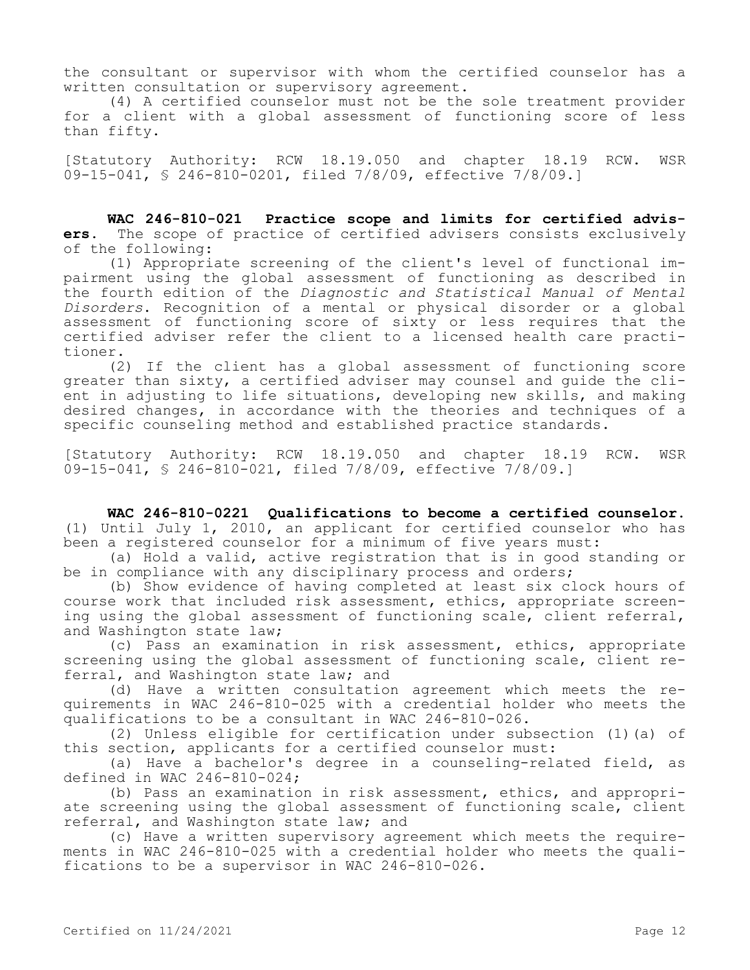the consultant or supervisor with whom the certified counselor has a written consultation or supervisory agreement.

(4) A certified counselor must not be the sole treatment provider for a client with a global assessment of functioning score of less than fifty.

[Statutory Authority: RCW 18.19.050 and chapter 18.19 RCW. WSR 09-15-041, § 246-810-0201, filed 7/8/09, effective 7/8/09.]

**WAC 246-810-021 Practice scope and limits for certified advisers.** The scope of practice of certified advisers consists exclusively of the following:

(1) Appropriate screening of the client's level of functional impairment using the global assessment of functioning as described in the fourth edition of the *Diagnostic and Statistical Manual of Mental Disorders*. Recognition of a mental or physical disorder or a global assessment of functioning score of sixty or less requires that the certified adviser refer the client to a licensed health care practitioner.

(2) If the client has a global assessment of functioning score greater than sixty, a certified adviser may counsel and guide the client in adjusting to life situations, developing new skills, and making desired changes, in accordance with the theories and techniques of a specific counseling method and established practice standards.

[Statutory Authority: RCW 18.19.050 and chapter 18.19 RCW. WSR 09-15-041, § 246-810-021, filed 7/8/09, effective 7/8/09.]

**WAC 246-810-0221 Qualifications to become a certified counselor.**  (1) Until July 1, 2010, an applicant for certified counselor who has been a registered counselor for a minimum of five years must:

(a) Hold a valid, active registration that is in good standing or be in compliance with any disciplinary process and orders;

(b) Show evidence of having completed at least six clock hours of course work that included risk assessment, ethics, appropriate screening using the global assessment of functioning scale, client referral, and Washington state law;

(c) Pass an examination in risk assessment, ethics, appropriate screening using the global assessment of functioning scale, client referral, and Washington state law; and

(d) Have a written consultation agreement which meets the requirements in WAC 246-810-025 with a credential holder who meets the qualifications to be a consultant in WAC 246-810-026.

(2) Unless eligible for certification under subsection (1)(a) of this section, applicants for a certified counselor must:

(a) Have a bachelor's degree in a counseling-related field, as defined in WAC 246-810-024;

(b) Pass an examination in risk assessment, ethics, and appropriate screening using the global assessment of functioning scale, client referral, and Washington state law; and

(c) Have a written supervisory agreement which meets the requirements in WAC 246-810-025 with a credential holder who meets the qualifications to be a supervisor in WAC 246-810-026.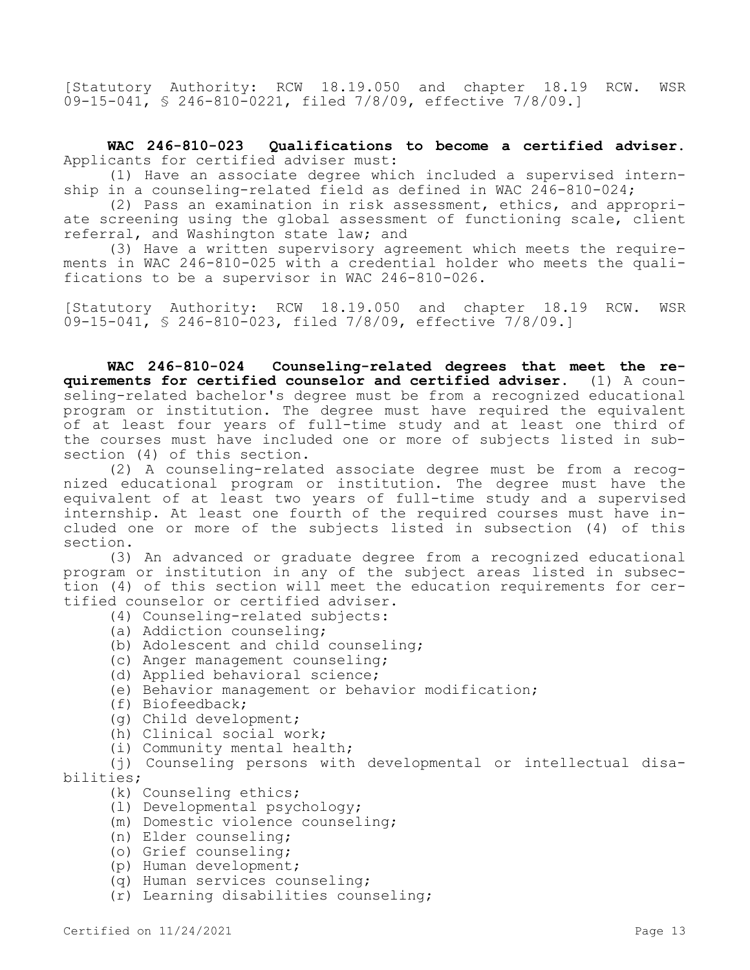[Statutory Authority: RCW 18.19.050 and chapter 18.19 RCW. WSR 09-15-041, § 246-810-0221, filed 7/8/09, effective 7/8/09.]

**WAC 246-810-023 Qualifications to become a certified adviser.**  Applicants for certified adviser must:

(1) Have an associate degree which included a supervised internship in a counseling-related field as defined in WAC  $2\overline{4}6-810-024$ ;

(2) Pass an examination in risk assessment, ethics, and appropriate screening using the global assessment of functioning scale, client referral, and Washington state law; and

(3) Have a written supervisory agreement which meets the requirements in WAC 246-810-025 with a credential holder who meets the qualifications to be a supervisor in WAC 246-810-026.

[Statutory Authority: RCW 18.19.050 and chapter 18.19 RCW. WSR 09-15-041, § 246-810-023, filed 7/8/09, effective 7/8/09.]

**WAC 246-810-024 Counseling-related degrees that meet the requirements for certified counselor and certified adviser.** (1) A counseling-related bachelor's degree must be from a recognized educational program or institution. The degree must have required the equivalent of at least four years of full-time study and at least one third of the courses must have included one or more of subjects listed in subsection (4) of this section.

(2) A counseling-related associate degree must be from a recognized educational program or institution. The degree must have the equivalent of at least two years of full-time study and a supervised internship. At least one fourth of the required courses must have included one or more of the subjects listed in subsection (4) of this section.

(3) An advanced or graduate degree from a recognized educational program or institution in any of the subject areas listed in subsection (4) of this section will meet the education requirements for certified counselor or certified adviser.

- (4) Counseling-related subjects:
- (a) Addiction counseling;
- (b) Adolescent and child counseling;
- (c) Anger management counseling;
- (d) Applied behavioral science;
- (e) Behavior management or behavior modification;
- (f) Biofeedback;
- (g) Child development;
- (h) Clinical social work;
- (i) Community mental health;

(j) Counseling persons with developmental or intellectual disabilities;

- (k) Counseling ethics;
- (l) Developmental psychology;
- (m) Domestic violence counseling;
- (n) Elder counseling;
- (o) Grief counseling;
- (p) Human development;
- (q) Human services counseling;
- (r) Learning disabilities counseling;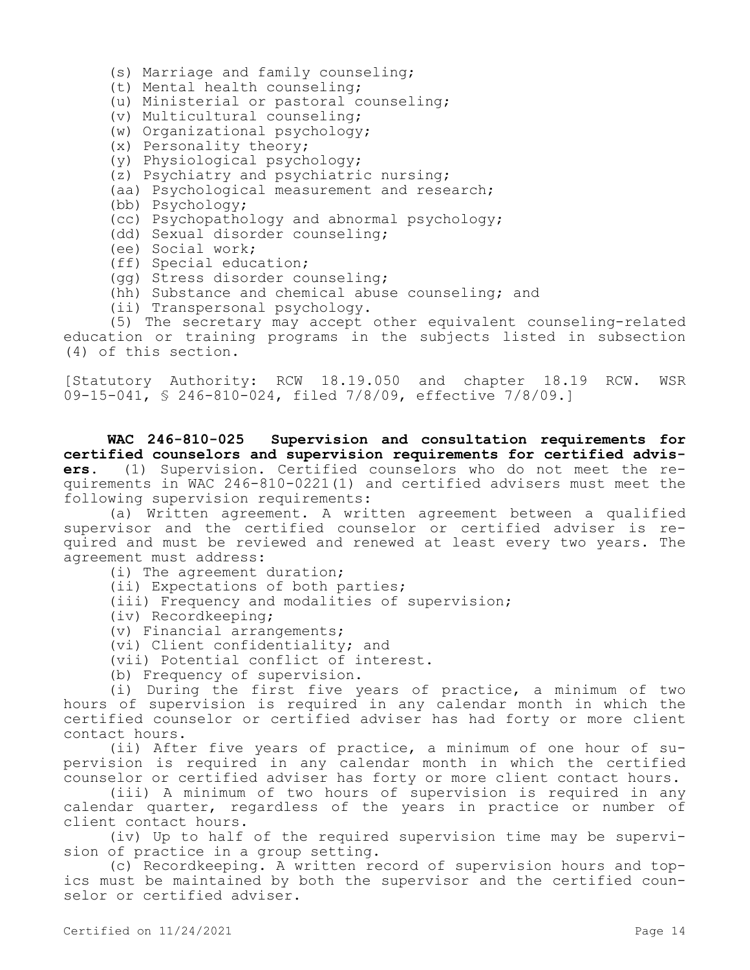- (s) Marriage and family counseling;
- (t) Mental health counseling;
- (u) Ministerial or pastoral counseling;
- (v) Multicultural counseling;
- (w) Organizational psychology;
- (x) Personality theory;
- (y) Physiological psychology;
- (z) Psychiatry and psychiatric nursing;
- (aa) Psychological measurement and research;
- (bb) Psychology;
- (cc) Psychopathology and abnormal psychology;
- (dd) Sexual disorder counseling;
- (ee) Social work;
- (ff) Special education;
- (gg) Stress disorder counseling;
- (hh) Substance and chemical abuse counseling; and
- (ii) Transpersonal psychology.

(5) The secretary may accept other equivalent counseling-related education or training programs in the subjects listed in subsection (4) of this section.

[Statutory Authority: RCW 18.19.050 and chapter 18.19 RCW. WSR 09-15-041, § 246-810-024, filed 7/8/09, effective 7/8/09.]

**WAC 246-810-025 Supervision and consultation requirements for certified counselors and supervision requirements for certified advisers.** (1) Supervision. Certified counselors who do not meet the requirements in WAC 246-810-0221(1) and certified advisers must meet the following supervision requirements:

(a) Written agreement. A written agreement between a qualified supervisor and the certified counselor or certified adviser is required and must be reviewed and renewed at least every two years. The agreement must address:

(i) The agreement duration;

- (ii) Expectations of both parties;
- (iii) Frequency and modalities of supervision;
- (iv) Recordkeeping;
- (v) Financial arrangements;
- (vi) Client confidentiality; and

(vii) Potential conflict of interest.

(b) Frequency of supervision.

(i) During the first five years of practice, a minimum of two hours of supervision is required in any calendar month in which the certified counselor or certified adviser has had forty or more client contact hours.

(ii) After five years of practice, a minimum of one hour of supervision is required in any calendar month in which the certified counselor or certified adviser has forty or more client contact hours.

(iii) A minimum of two hours of supervision is required in any calendar quarter, regardless of the years in practice or number of client contact hours.

(iv) Up to half of the required supervision time may be supervision of practice in a group setting.

(c) Recordkeeping. A written record of supervision hours and topics must be maintained by both the supervisor and the certified counselor or certified adviser.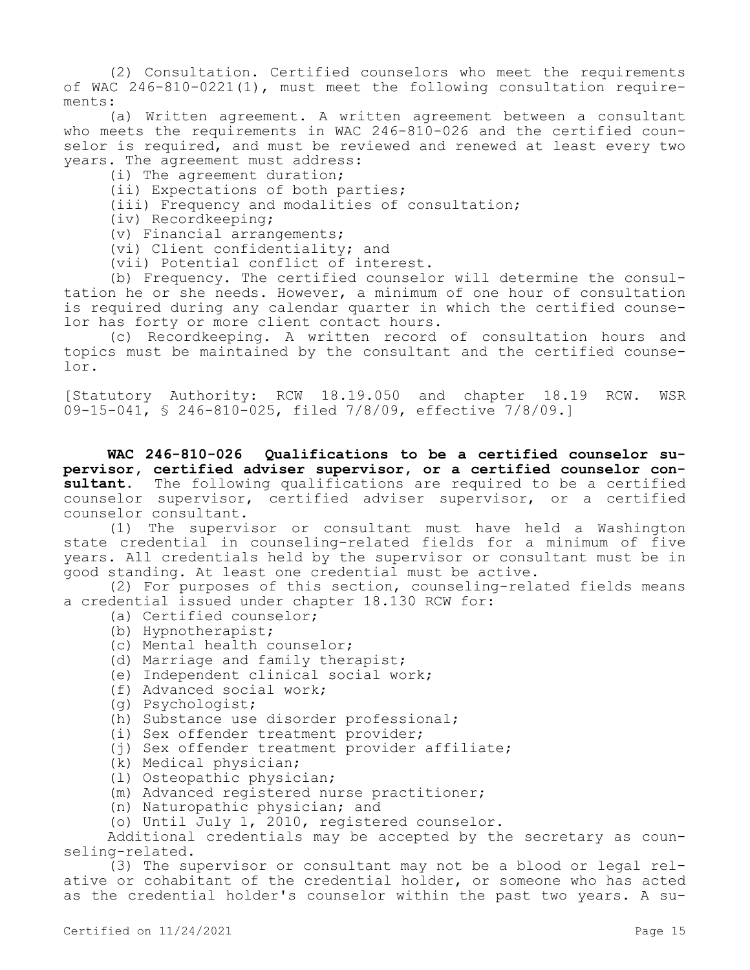(2) Consultation. Certified counselors who meet the requirements of WAC 246-810-0221(1), must meet the following consultation requirements:

(a) Written agreement. A written agreement between a consultant who meets the requirements in WAC 246-810-026 and the certified counselor is required, and must be reviewed and renewed at least every two years. The agreement must address:

(i) The agreement duration;

(ii) Expectations of both parties;

(iii) Frequency and modalities of consultation;

(iv) Recordkeeping;

(v) Financial arrangements;

(vi) Client confidentiality; and

(vii) Potential conflict of interest.

(b) Frequency. The certified counselor will determine the consultation he or she needs. However, a minimum of one hour of consultation is required during any calendar quarter in which the certified counselor has forty or more client contact hours.

(c) Recordkeeping. A written record of consultation hours and topics must be maintained by the consultant and the certified counselor.

[Statutory Authority: RCW 18.19.050 and chapter 18.19 RCW. WSR 09-15-041, § 246-810-025, filed 7/8/09, effective 7/8/09.]

**WAC 246-810-026 Qualifications to be a certified counselor supervisor, certified adviser supervisor, or a certified counselor consultant.** The following qualifications are required to be a certified counselor supervisor, certified adviser supervisor, or a certified counselor consultant.

(1) The supervisor or consultant must have held a Washington state credential in counseling-related fields for a minimum of five years. All credentials held by the supervisor or consultant must be in good standing. At least one credential must be active.

(2) For purposes of this section, counseling-related fields means a credential issued under chapter 18.130 RCW for:

(a) Certified counselor;

- (b) Hypnotherapist;
- (c) Mental health counselor;
- (d) Marriage and family therapist;
- (e) Independent clinical social work;
- (f) Advanced social work;
- (g) Psychologist;
- (h) Substance use disorder professional;
- (i) Sex offender treatment provider;
- (i) Sex offender treatment provider affiliate;
- (k) Medical physician;
- (l) Osteopathic physician;
- (m) Advanced registered nurse practitioner;
- (n) Naturopathic physician; and
- (o) Until July 1, 2010, registered counselor.

Additional credentials may be accepted by the secretary as counseling-related.

(3) The supervisor or consultant may not be a blood or legal relative or cohabitant of the credential holder, or someone who has acted as the credential holder's counselor within the past two years. A su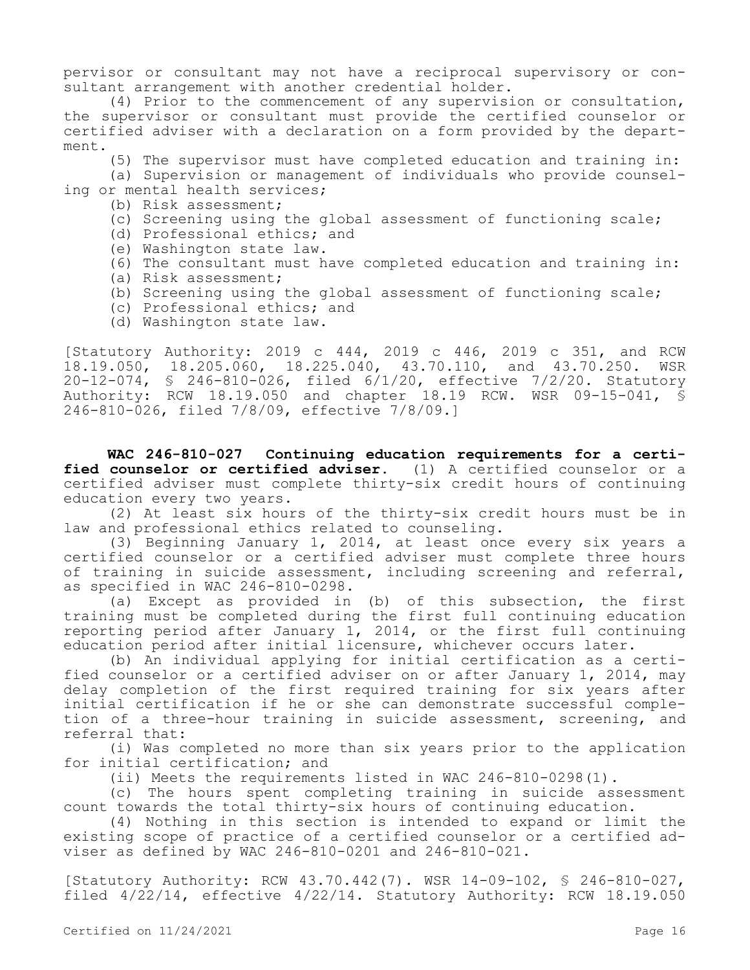pervisor or consultant may not have a reciprocal supervisory or consultant arrangement with another credential holder.

(4) Prior to the commencement of any supervision or consultation, the supervisor or consultant must provide the certified counselor or certified adviser with a declaration on a form provided by the department.

(5) The supervisor must have completed education and training in:

(a) Supervision or management of individuals who provide counseling or mental health services;

- (b) Risk assessment;
- (c) Screening using the global assessment of functioning scale;
- (d) Professional ethics; and
- (e) Washington state law.
- (6) The consultant must have completed education and training in:
- (a) Risk assessment;
- (b) Screening using the global assessment of functioning scale;
- (c) Professional ethics; and
- (d) Washington state law.

[Statutory Authority: 2019 c 444, 2019 c 446, 2019 c 351, and RCW 18.19.050, 18.205.060, 18.225.040, 43.70.110, and 43.70.250. WSR 20-12-074, § 246-810-026, filed 6/1/20, effective 7/2/20. Statutory Authority: RCW 18.19.050 and chapter 18.19 RCW. WSR 09-15-041, § 246-810-026, filed 7/8/09, effective 7/8/09.]

**WAC 246-810-027 Continuing education requirements for a certified counselor or certified adviser.** (1) A certified counselor or a certified adviser must complete thirty-six credit hours of continuing education every two years.

(2) At least six hours of the thirty-six credit hours must be in law and professional ethics related to counseling.

(3) Beginning January 1, 2014, at least once every six years a certified counselor or a certified adviser must complete three hours of training in suicide assessment, including screening and referral, as specified in WAC 246-810-0298.

(a) Except as provided in (b) of this subsection, the first training must be completed during the first full continuing education reporting period after January 1, 2014, or the first full continuing education period after initial licensure, whichever occurs later.

(b) An individual applying for initial certification as a certified counselor or a certified adviser on or after January 1, 2014, may delay completion of the first required training for six years after initial certification if he or she can demonstrate successful completion of a three-hour training in suicide assessment, screening, and referral that:

(i) Was completed no more than six years prior to the application for initial certification; and

(ii) Meets the requirements listed in WAC 246-810-0298(1).

(c) The hours spent completing training in suicide assessment count towards the total thirty-six hours of continuing education.

(4) Nothing in this section is intended to expand or limit the existing scope of practice of a certified counselor or a certified adviser as defined by WAC 246-810-0201 and 246-810-021.

[Statutory Authority: RCW 43.70.442(7). WSR 14-09-102, § 246-810-027, filed 4/22/14, effective 4/22/14. Statutory Authority: RCW 18.19.050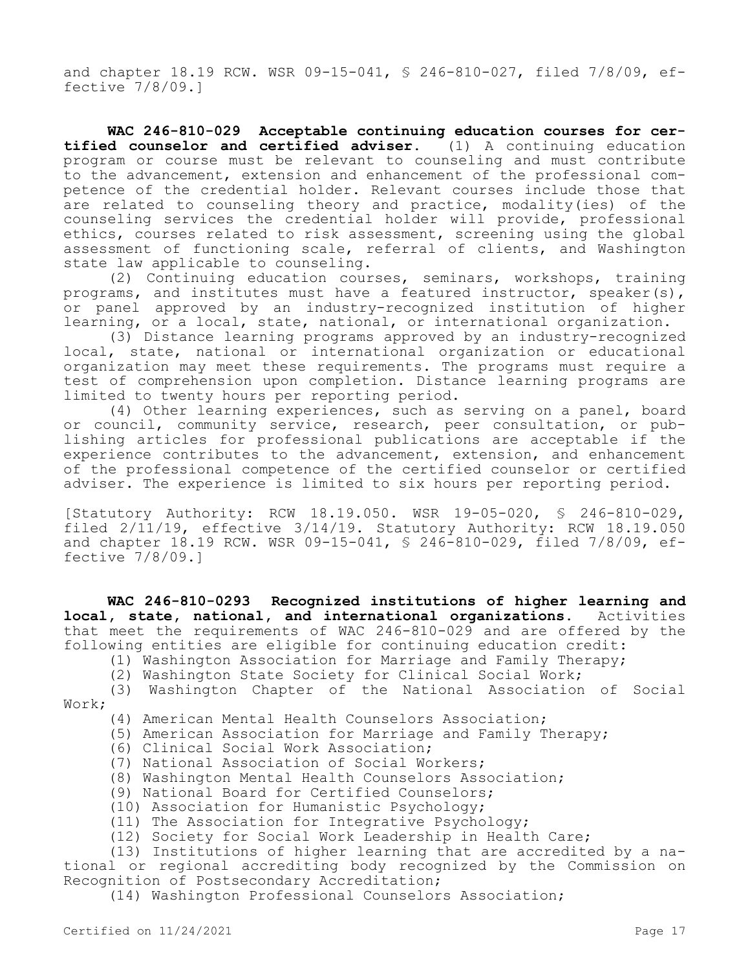and chapter 18.19 RCW. WSR 09-15-041, § 246-810-027, filed 7/8/09, effective 7/8/09.]

**WAC 246-810-029 Acceptable continuing education courses for certified counselor and certified adviser.** (1) A continuing education program or course must be relevant to counseling and must contribute to the advancement, extension and enhancement of the professional competence of the credential holder. Relevant courses include those that are related to counseling theory and practice, modality(ies) of the counseling services the credential holder will provide, professional ethics, courses related to risk assessment, screening using the global assessment of functioning scale, referral of clients, and Washington state law applicable to counseling.

(2) Continuing education courses, seminars, workshops, training programs, and institutes must have a featured instructor, speaker(s), or panel approved by an industry-recognized institution of higher learning, or a local, state, national, or international organization.

(3) Distance learning programs approved by an industry-recognized local, state, national or international organization or educational organization may meet these requirements. The programs must require a test of comprehension upon completion. Distance learning programs are limited to twenty hours per reporting period.

(4) Other learning experiences, such as serving on a panel, board or council, community service, research, peer consultation, or publishing articles for professional publications are acceptable if the experience contributes to the advancement, extension, and enhancement of the professional competence of the certified counselor or certified adviser. The experience is limited to six hours per reporting period.

[Statutory Authority: RCW 18.19.050. WSR 19-05-020, § 246-810-029, filed 2/11/19, effective 3/14/19. Statutory Authority: RCW 18.19.050 and chapter 18.19 RCW. WSR 09-15-041, § 246-810-029, filed 7/8/09, effective 7/8/09.]

**WAC 246-810-0293 Recognized institutions of higher learning and local, state, national, and international organizations.** Activities that meet the requirements of WAC 246-810-029 and are offered by the following entities are eligible for continuing education credit:

(1) Washington Association for Marriage and Family Therapy;

(2) Washington State Society for Clinical Social Work;

(3) Washington Chapter of the National Association of Social Work;

(4) American Mental Health Counselors Association;

(5) American Association for Marriage and Family Therapy;

- (6) Clinical Social Work Association;
- (7) National Association of Social Workers;

(8) Washington Mental Health Counselors Association;

(9) National Board for Certified Counselors;

(10) Association for Humanistic Psychology;

(11) The Association for Integrative Psychology;

(12) Society for Social Work Leadership in Health Care;

(13) Institutions of higher learning that are accredited by a national or regional accrediting body recognized by the Commission on Recognition of Postsecondary Accreditation;

(14) Washington Professional Counselors Association;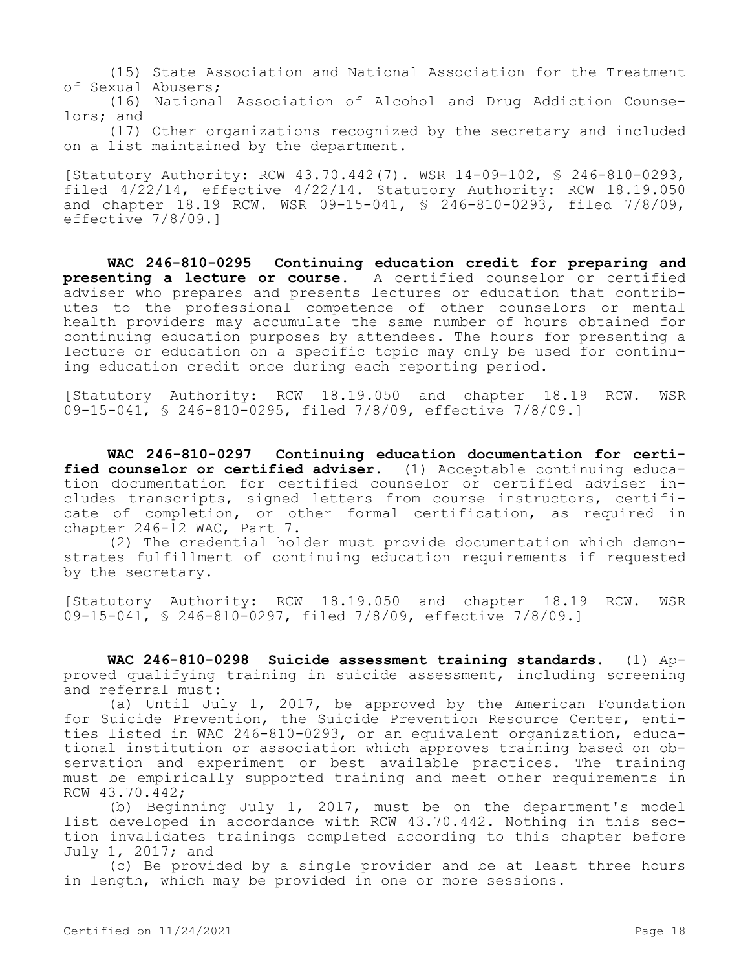(15) State Association and National Association for the Treatment of Sexual Abusers;

(16) National Association of Alcohol and Drug Addiction Counselors; and

(17) Other organizations recognized by the secretary and included on a list maintained by the department.

[Statutory Authority: RCW 43.70.442(7). WSR 14-09-102, § 246-810-0293, filed 4/22/14, effective 4/22/14. Statutory Authority: RCW 18.19.050 and chapter 18.19 RCW. WSR 09-15-041, § 246-810-0293, filed 7/8/09, effective 7/8/09.]

**WAC 246-810-0295 Continuing education credit for preparing and presenting a lecture or course.** A certified counselor or certified adviser who prepares and presents lectures or education that contributes to the professional competence of other counselors or mental health providers may accumulate the same number of hours obtained for continuing education purposes by attendees. The hours for presenting a lecture or education on a specific topic may only be used for continuing education credit once during each reporting period.

[Statutory Authority: RCW 18.19.050 and chapter 18.19 RCW. WSR 09-15-041, § 246-810-0295, filed 7/8/09, effective 7/8/09.]

**WAC 246-810-0297 Continuing education documentation for certified counselor or certified adviser.** (1) Acceptable continuing education documentation for certified counselor or certified adviser includes transcripts, signed letters from course instructors, certificate of completion, or other formal certification, as required in chapter 246-12 WAC, Part 7.

(2) The credential holder must provide documentation which demonstrates fulfillment of continuing education requirements if requested by the secretary.

[Statutory Authority: RCW 18.19.050 and chapter 18.19 RCW. WSR 09-15-041, § 246-810-0297, filed 7/8/09, effective 7/8/09.]

**WAC 246-810-0298 Suicide assessment training standards.** (1) Approved qualifying training in suicide assessment, including screening and referral must:

(a) Until July 1, 2017, be approved by the American Foundation for Suicide Prevention, the Suicide Prevention Resource Center, entities listed in WAC 246-810-0293, or an equivalent organization, educational institution or association which approves training based on observation and experiment or best available practices. The training must be empirically supported training and meet other requirements in RCW 43.70.442;

(b) Beginning July 1, 2017, must be on the department's model list developed in accordance with RCW 43.70.442. Nothing in this section invalidates trainings completed according to this chapter before July 1, 2017; and

(c) Be provided by a single provider and be at least three hours in length, which may be provided in one or more sessions.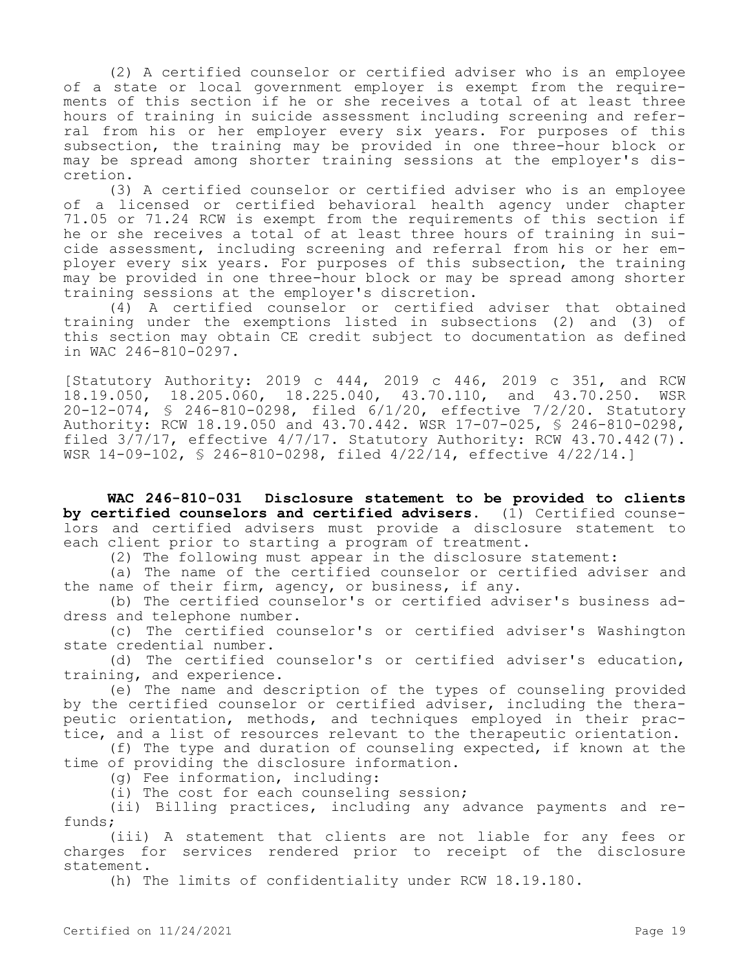(2) A certified counselor or certified adviser who is an employee of a state or local government employer is exempt from the requirements of this section if he or she receives a total of at least three hours of training in suicide assessment including screening and referral from his or her employer every six years. For purposes of this subsection, the training may be provided in one three-hour block or may be spread among shorter training sessions at the employer's discretion.

(3) A certified counselor or certified adviser who is an employee of a licensed or certified behavioral health agency under chapter 71.05 or 71.24 RCW is exempt from the requirements of this section if he or she receives a total of at least three hours of training in suicide assessment, including screening and referral from his or her employer every six years. For purposes of this subsection, the training may be provided in one three-hour block or may be spread among shorter training sessions at the employer's discretion.

(4) A certified counselor or certified adviser that obtained training under the exemptions listed in subsections (2) and (3) of this section may obtain CE credit subject to documentation as defined in WAC 246-810-0297.

[Statutory Authority: 2019 c 444, 2019 c 446, 2019 c 351, and RCW 18.19.050, 18.205.060, 18.225.040, 43.70.110, and 43.70.250. WSR 20-12-074, § 246-810-0298, filed 6/1/20, effective 7/2/20. Statutory Authority: RCW 18.19.050 and 43.70.442. WSR 17-07-025, § 246-810-0298, filed  $3/\overline{7}/17$ , effective  $4/7/17$ . Statutory Authority: RCW  $43.70.442(7)$ . WSR 14-09-102, § 246-810-0298, filed 4/22/14, effective 4/22/14.]

**WAC 246-810-031 Disclosure statement to be provided to clients by certified counselors and certified advisers.** (1) Certified counselors and certified advisers must provide a disclosure statement to each client prior to starting a program of treatment.

(2) The following must appear in the disclosure statement:

(a) The name of the certified counselor or certified adviser and the name of their firm, agency, or business, if any.

(b) The certified counselor's or certified adviser's business address and telephone number.

(c) The certified counselor's or certified adviser's Washington state credential number.

(d) The certified counselor's or certified adviser's education, training, and experience.

(e) The name and description of the types of counseling provided by the certified counselor or certified adviser, including the therapeutic orientation, methods, and techniques employed in their practice, and a list of resources relevant to the therapeutic orientation.

(f) The type and duration of counseling expected, if known at the time of providing the disclosure information.

(g) Fee information, including:

(i) The cost for each counseling session;

(ii) Billing practices, including any advance payments and refunds;

(iii) A statement that clients are not liable for any fees or charges for services rendered prior to receipt of the disclosure statement.

(h) The limits of confidentiality under RCW 18.19.180.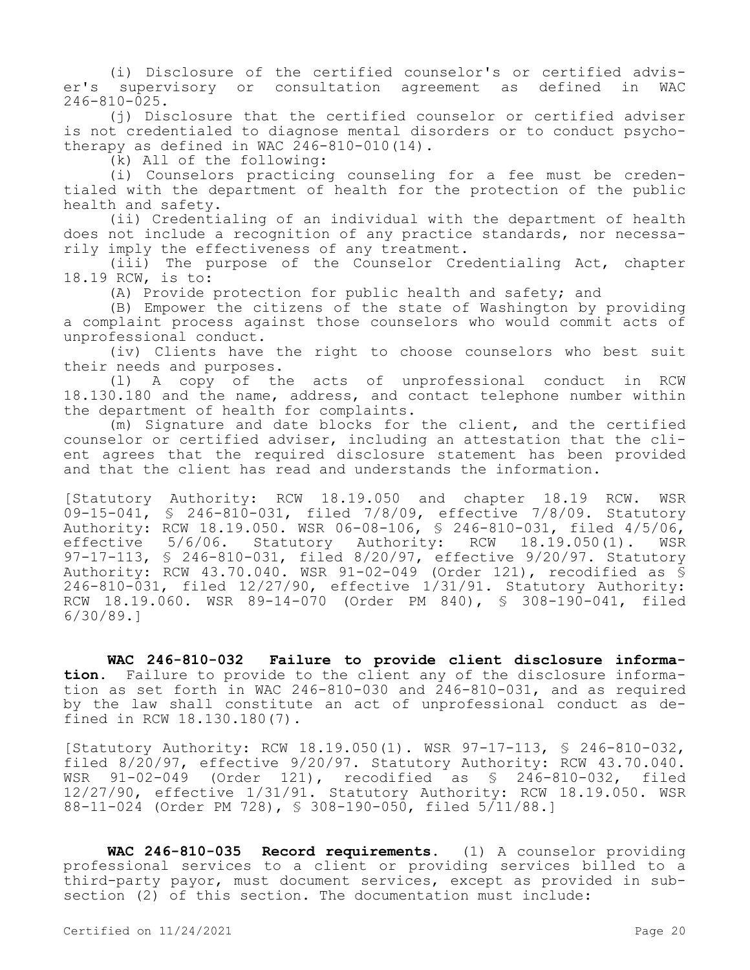(i) Disclosure of the certified counselor's or certified adviser's supervisory or consultation agreement as defined in WAC 246-810-025.

(j) Disclosure that the certified counselor or certified adviser is not credentialed to diagnose mental disorders or to conduct psychotherapy as defined in WAC 246-810-010(14).

(k) All of the following:

(i) Counselors practicing counseling for a fee must be credentialed with the department of health for the protection of the public health and safety.

(ii) Credentialing of an individual with the department of health does not include a recognition of any practice standards, nor necessarily imply the effectiveness of any treatment.

(iii) The purpose of the Counselor Credentialing Act, chapter 18.19 RCW, is to:

(A) Provide protection for public health and safety; and

(B) Empower the citizens of the state of Washington by providing a complaint process against those counselors who would commit acts of unprofessional conduct.

(iv) Clients have the right to choose counselors who best suit their needs and purposes.

(l) A copy of the acts of unprofessional conduct in RCW 18.130.180 and the name, address, and contact telephone number within the department of health for complaints.

(m) Signature and date blocks for the client, and the certified counselor or certified adviser, including an attestation that the client agrees that the required disclosure statement has been provided and that the client has read and understands the information.

[Statutory Authority: RCW 18.19.050 and chapter 18.19 RCW. WSR 09-15-041, § 246-810-031, filed 7/8/09, effective 7/8/09. Statutory Authority: RCW 18.19.050. WSR 06-08-106, § 246-810-031, filed 4/5/06, effective 5/6/06. Statutory Authority: RCW 18.19.050(1). WSR 97-17-113, § 246-810-031, filed 8/20/97, effective 9/20/97. Statutory Authority: RCW 43.70.040. WSR 91-02-049 (Order 121), recodified as § 246-810-031, filed 12/27/90, effective 1/31/91. Statutory Authority: RCW 18.19.060. WSR 89-14-070 (Order PM 840), § 308-190-041, filed 6/30/89.]

**WAC 246-810-032 Failure to provide client disclosure information.** Failure to provide to the client any of the disclosure information as set forth in WAC 246-810-030 and 246-810-031, and as required by the law shall constitute an act of unprofessional conduct as defined in RCW 18.130.180(7).

[Statutory Authority: RCW 18.19.050(1). WSR 97-17-113, § 246-810-032, filed 8/20/97, effective 9/20/97. Statutory Authority: RCW 43.70.040. WSR 91-02-049 (Order 121), recodified as § 246-810-032, filed 12/27/90, effective 1/31/91. Statutory Authority: RCW 18.19.050. WSR 88-11-024 (Order PM 728), § 308-190-050, filed 5/11/88.]

**WAC 246-810-035 Record requirements.** (1) A counselor providing professional services to a client or providing services billed to a third-party payor, must document services, except as provided in subsection (2) of this section. The documentation must include: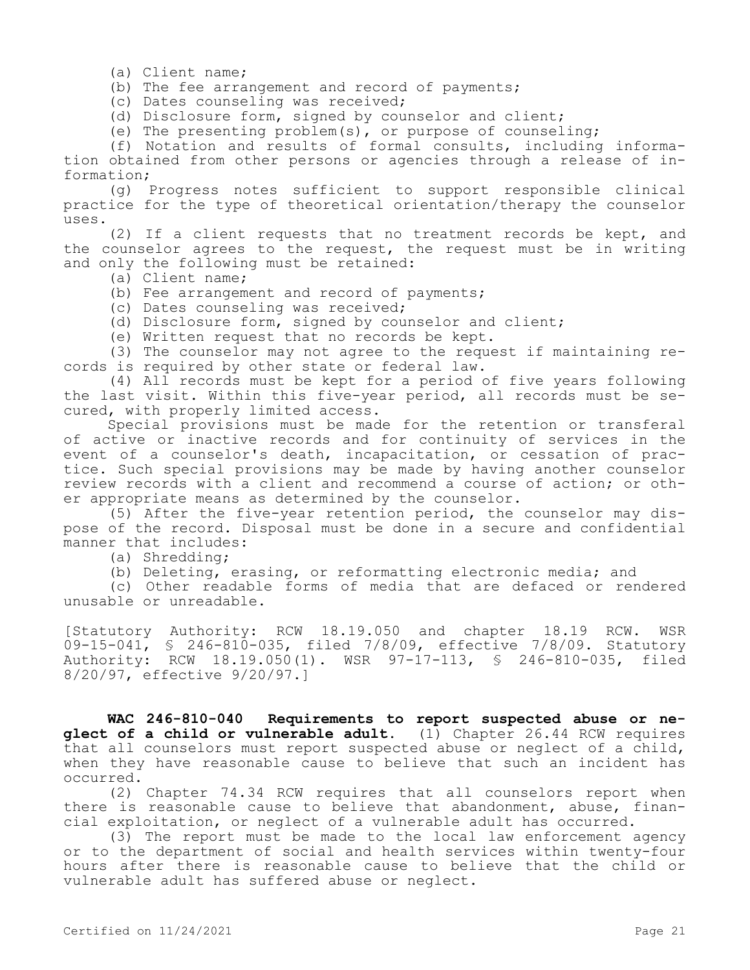(a) Client name;

(b) The fee arrangement and record of payments;

(c) Dates counseling was received;

(d) Disclosure form, signed by counselor and client;

(e) The presenting problem(s), or purpose of counseling;

(f) Notation and results of formal consults, including information obtained from other persons or agencies through a release of information;

(g) Progress notes sufficient to support responsible clinical practice for the type of theoretical orientation/therapy the counselor uses.

(2) If a client requests that no treatment records be kept, and the counselor agrees to the request, the request must be in writing and only the following must be retained:

(a) Client name;

- (b) Fee arrangement and record of payments;
- (c) Dates counseling was received;
- (d) Disclosure form, signed by counselor and client;
- (e) Written request that no records be kept.

(3) The counselor may not agree to the request if maintaining records is required by other state or federal law.

(4) All records must be kept for a period of five years following the last visit. Within this five-year period, all records must be secured, with properly limited access.

Special provisions must be made for the retention or transferal of active or inactive records and for continuity of services in the event of a counselor's death, incapacitation, or cessation of practice. Such special provisions may be made by having another counselor review records with a client and recommend a course of action; or other appropriate means as determined by the counselor.

(5) After the five-year retention period, the counselor may dispose of the record. Disposal must be done in a secure and confidential manner that includes:

(a) Shredding;

(b) Deleting, erasing, or reformatting electronic media; and

(c) Other readable forms of media that are defaced or rendered unusable or unreadable.

[Statutory Authority: RCW 18.19.050 and chapter 18.19 RCW. WSR 09-15-041, § 246-810-035, filed 7/8/09, effective 7/8/09. Statutory Authority: RCW 18.19.050(1). WSR 97-17-113, § 246-810-035, filed 8/20/97, effective 9/20/97.]

**WAC 246-810-040 Requirements to report suspected abuse or neglect of a child or vulnerable adult.** (1) Chapter 26.44 RCW requires that all counselors must report suspected abuse or neglect of a child, when they have reasonable cause to believe that such an incident has occurred.

(2) Chapter 74.34 RCW requires that all counselors report when there is reasonable cause to believe that abandonment, abuse, financial exploitation, or neglect of a vulnerable adult has occurred.

(3) The report must be made to the local law enforcement agency or to the department of social and health services within twenty-four hours after there is reasonable cause to believe that the child or vulnerable adult has suffered abuse or neglect.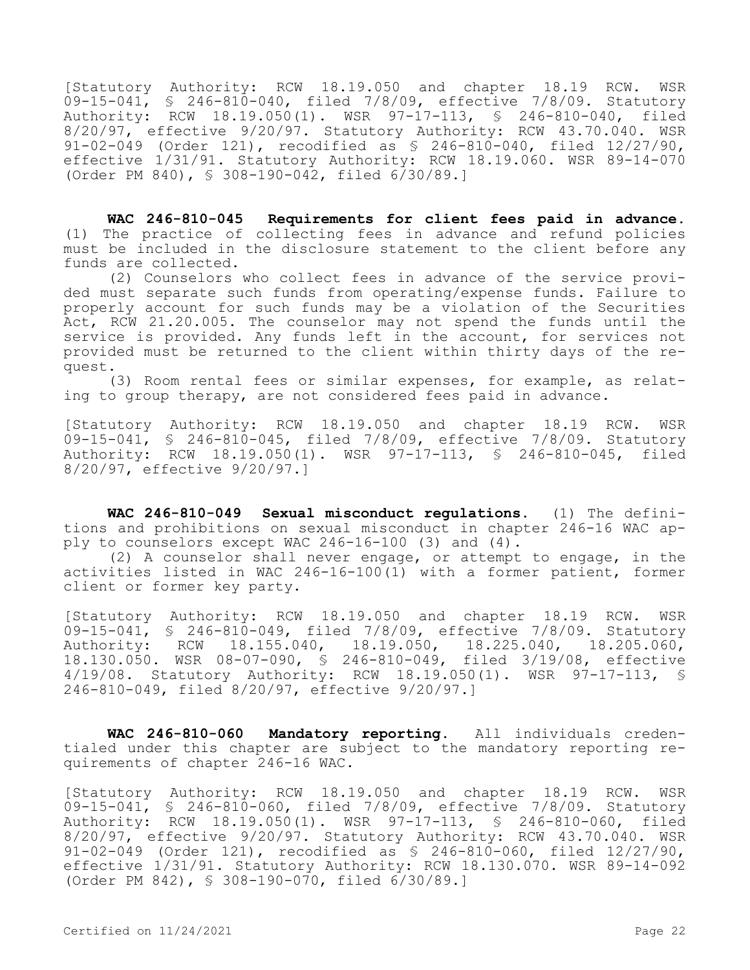[Statutory Authority: RCW 18.19.050 and chapter 18.19 RCW. WSR 09-15-041, § 246-810-040, filed 7/8/09, effective 7/8/09. Statutory Authority: RCW 18.19.050(1). WSR 97-17-113, § 246-810-040, filed 8/20/97, effective 9/20/97. Statutory Authority: RCW 43.70.040. WSR 91-02-049 (Order 121), recodified as § 246-810-040, filed 12/27/90, effective 1/31/91. Statutory Authority: RCW 18.19.060. WSR 89-14-070 (Order PM 840), § 308-190-042, filed 6/30/89.]

**WAC 246-810-045 Requirements for client fees paid in advance.**  (1) The practice of collecting fees in advance and refund policies must be included in the disclosure statement to the client before any funds are collected.

(2) Counselors who collect fees in advance of the service provided must separate such funds from operating/expense funds. Failure to properly account for such funds may be a violation of the Securities Act, RCW 21.20.005. The counselor may not spend the funds until the service is provided. Any funds left in the account, for services not provided must be returned to the client within thirty days of the request.

(3) Room rental fees or similar expenses, for example, as relating to group therapy, are not considered fees paid in advance.

[Statutory Authority: RCW 18.19.050 and chapter 18.19 RCW. WSR 09-15-041, § 246-810-045, filed 7/8/09, effective 7/8/09. Statutory Authority: RCW 18.19.050(1). WSR 97-17-113, § 246-810-045, filed 8/20/97, effective 9/20/97.]

**WAC 246-810-049 Sexual misconduct regulations.** (1) The definitions and prohibitions on sexual misconduct in chapter 246-16 WAC apply to counselors except WAC  $246-16-100$  (3) and (4).

(2) A counselor shall never engage, or attempt to engage, in the activities listed in WAC 246-16-100(1) with a former patient, former client or former key party.

[Statutory Authority: RCW 18.19.050 and chapter 18.19 RCW. WSR 09-15-041, § 246-810-049, filed 7/8/09, effective 7/8/09. Statutory Authority: RCW 18.155.040, 18.19.050, 18.225.040, 18.205.060, 18.130.050. WSR 08-07-090, § 246-810-049, filed 3/19/08, effective 4/19/08. Statutory Authority: RCW 18.19.050(1). WSR 97-17-113, § 246-810-049, filed 8/20/97, effective 9/20/97.]

**WAC 246-810-060 Mandatory reporting.** All individuals credentialed under this chapter are subject to the mandatory reporting requirements of chapter 246-16 WAC.

[Statutory Authority: RCW 18.19.050 and chapter 18.19 RCW. WSR 09-15-041, § 246-810-060, filed 7/8/09, effective 7/8/09. Statutory Authority: RCW 18.19.050(1). WSR 97-17-113, § 246-810-060, filed 8/20/97, effective 9/20/97. Statutory Authority: RCW 43.70.040. WSR 91-02-049 (Order 121), recodified as § 246-810-060, filed 12/27/90, effective 1/31/91. Statutory Authority: RCW 18.130.070. WSR 89-14-092 (Order PM 842), § 308-190-070, filed 6/30/89.]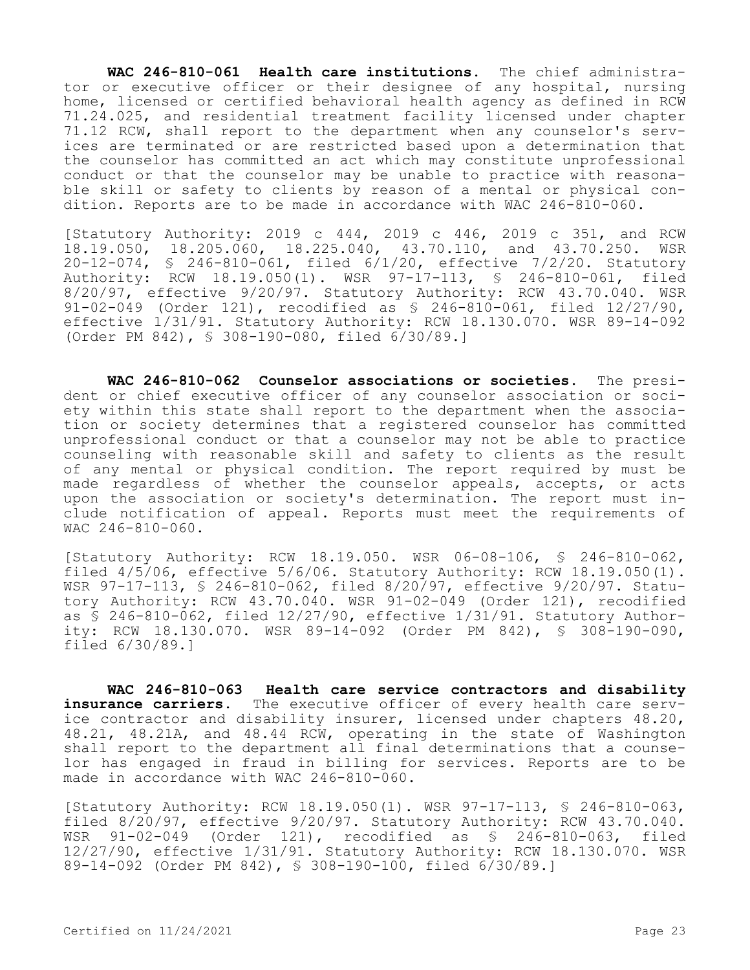**WAC 246-810-061 Health care institutions.** The chief administrator or executive officer or their designee of any hospital, nursing home, licensed or certified behavioral health agency as defined in RCW 71.24.025, and residential treatment facility licensed under chapter 71.12 RCW, shall report to the department when any counselor's services are terminated or are restricted based upon a determination that the counselor has committed an act which may constitute unprofessional conduct or that the counselor may be unable to practice with reasonable skill or safety to clients by reason of a mental or physical condition. Reports are to be made in accordance with WAC 246-810-060.

[Statutory Authority: 2019 c 444, 2019 c 446, 2019 c 351, and RCW 18.19.050, 18.205.060, 18.225.040, 43.70.110, and 43.70.250. WSR 20-12-074, § 246-810-061, filed 6/1/20, effective 7/2/20. Statutory Authority: RCW 18.19.050(1). WSR 97-17-113, § 246-810-061, filed 8/20/97, effective 9/20/97. Statutory Authority: RCW 43.70.040. WSR 91-02-049 (Order 121), recodified as § 246-810-061, filed 12/27/90, effective 1/31/91. Statutory Authority: RCW 18.130.070. WSR 89-14-092 (Order PM 842), § 308-190-080, filed 6/30/89.]

**WAC 246-810-062 Counselor associations or societies.** The president or chief executive officer of any counselor association or society within this state shall report to the department when the association or society determines that a registered counselor has committed unprofessional conduct or that a counselor may not be able to practice counseling with reasonable skill and safety to clients as the result of any mental or physical condition. The report required by must be made regardless of whether the counselor appeals, accepts, or acts upon the association or society's determination. The report must include notification of appeal. Reports must meet the requirements of WAC 246-810-060.

[Statutory Authority: RCW 18.19.050. WSR 06-08-106, § 246-810-062, filed  $4/5/06$ , effective  $5/6/06$ . Statutory Authority: RCW  $18.19.050(1)$ . WSR 97-17-113, § 246-810-062, filed 8/20/97, effective 9/20/97. Statutory Authority: RCW 43.70.040. WSR 91-02-049 (Order 121), recodified as § 246-810-062, filed 12/27/90, effective 1/31/91. Statutory Authority: RCW 18.130.070. WSR 89-14-092 (Order PM 842), § 308-190-090, filed 6/30/89.]

**WAC 246-810-063 Health care service contractors and disability**  insurance carriers. The executive officer of every health care service contractor and disability insurer, licensed under chapters 48.20, 48.21, 48.21A, and 48.44 RCW, operating in the state of Washington shall report to the department all final determinations that a counselor has engaged in fraud in billing for services. Reports are to be made in accordance with WAC 246-810-060.

[Statutory Authority: RCW 18.19.050(1). WSR 97-17-113, § 246-810-063, filed  $8/20/97$ , effective  $9/20/97$ . Statutory Authority: RCW 43.70.040.<br>WSR 91-02-049 (Order 121), recodified as \$ 246-810-063, filed WSR 91-02-049 (Order 121), recodified as \$ 246-810-063, 12/27/90, effective 1/31/91. Statutory Authority: RCW 18.130.070. WSR 89-14-092 (Order PM 842), § 308-190-100, filed 6/30/89.]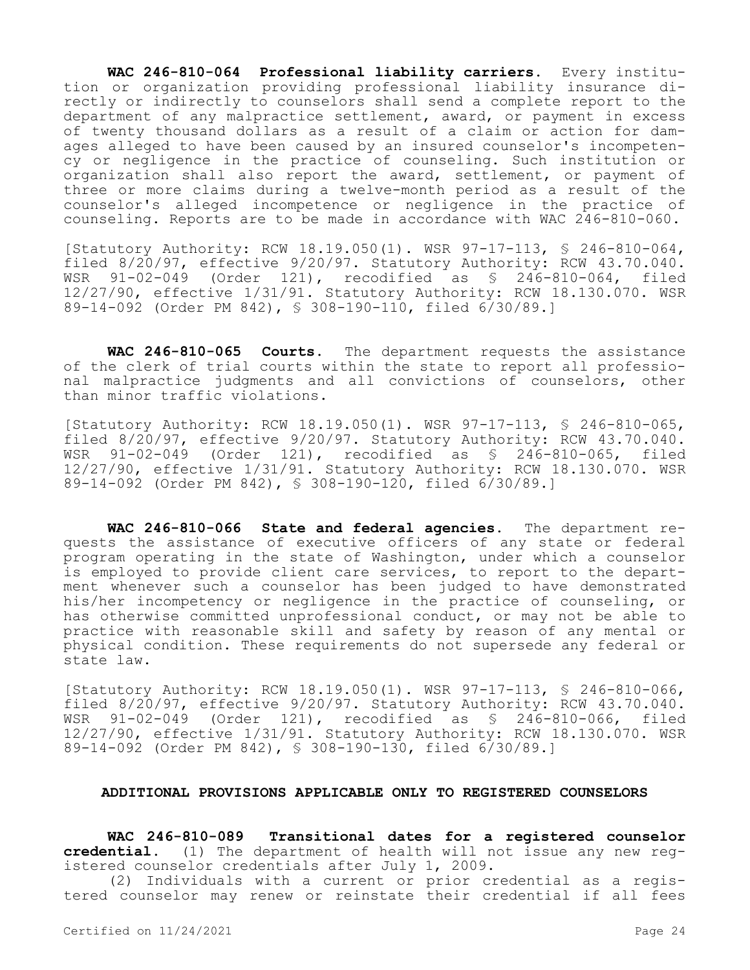**WAC 246-810-064 Professional liability carriers.** Every institution or organization providing professional liability insurance directly or indirectly to counselors shall send a complete report to the department of any malpractice settlement, award, or payment in excess of twenty thousand dollars as a result of a claim or action for damages alleged to have been caused by an insured counselor's incompetency or negligence in the practice of counseling. Such institution or organization shall also report the award, settlement, or payment of three or more claims during a twelve-month period as a result of the counselor's alleged incompetence or negligence in the practice of counseling. Reports are to be made in accordance with WAC 246-810-060.

[Statutory Authority: RCW 18.19.050(1). WSR 97-17-113, § 246-810-064, filed 8/20/97, effective 9/20/97. Statutory Authority: RCW 43.70.040. WSR 91-02-049 (Order 121), recodified as § 246-810-064, filed 12/27/90, effective 1/31/91. Statutory Authority: RCW 18.130.070. WSR 89-14-092 (Order PM 842), § 308-190-110, filed 6/30/89.]

**WAC 246-810-065 Courts.** The department requests the assistance of the clerk of trial courts within the state to report all professional malpractice judgments and all convictions of counselors, other than minor traffic violations.

[Statutory Authority: RCW 18.19.050(1). WSR 97-17-113, § 246-810-065, filed 8/20/97, effective 9/20/97. Statutory Authority: RCW 43.70.040. WSR 91-02-049 (Order 121), recodified as § 246-810-065, filed 12/27/90, effective 1/31/91. Statutory Authority: RCW 18.130.070. WSR 89-14-092 (Order PM 842), § 308-190-120, filed 6/30/89.]

**WAC 246-810-066 State and federal agencies.** The department requests the assistance of executive officers of any state or federal program operating in the state of Washington, under which a counselor is employed to provide client care services, to report to the department whenever such a counselor has been judged to have demonstrated his/her incompetency or negligence in the practice of counseling, or has otherwise committed unprofessional conduct, or may not be able to practice with reasonable skill and safety by reason of any mental or physical condition. These requirements do not supersede any federal or state law.

[Statutory Authority: RCW 18.19.050(1). WSR 97-17-113, § 246-810-066, filed 8/20/97, effective 9/20/97. Statutory Authority: RCW 43.70.040. WSR 91-02-049 (Order 121), recodified as § 246-810-066, filed 12/27/90, effective 1/31/91. Statutory Authority: RCW 18.130.070. WSR 89-14-092 (Order PM 842), § 308-190-130, filed 6/30/89.]

## **ADDITIONAL PROVISIONS APPLICABLE ONLY TO REGISTERED COUNSELORS**

**WAC 246-810-089 Transitional dates for a registered counselor credential.** (1) The department of health will not issue any new registered counselor credentials after July 1, 2009.

(2) Individuals with a current or prior credential as a registered counselor may renew or reinstate their credential if all fees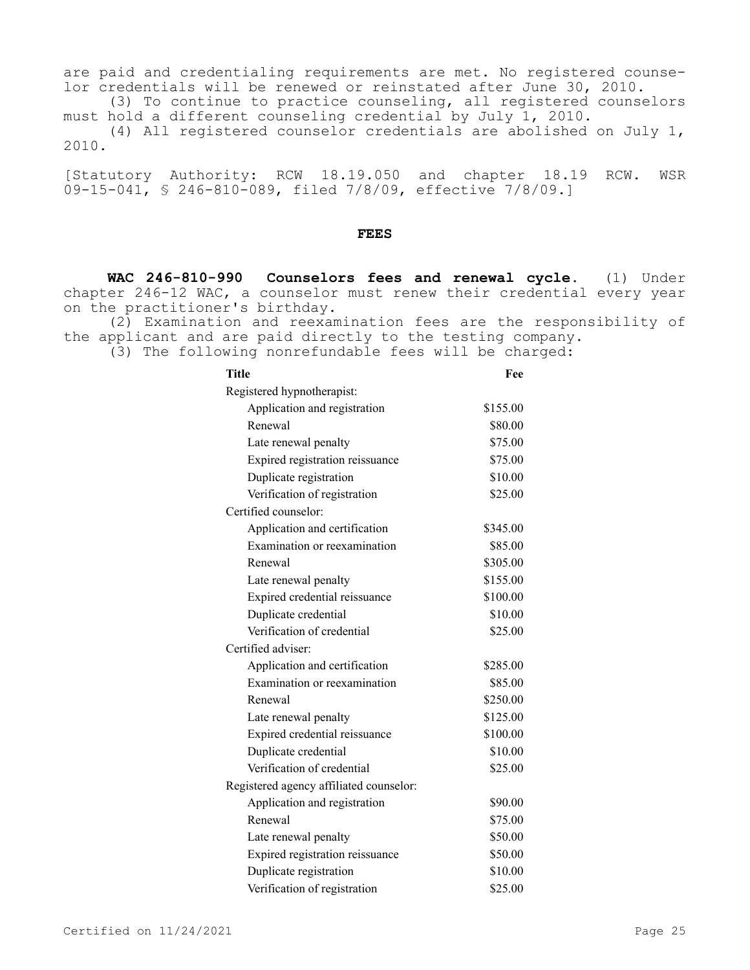are paid and credentialing requirements are met. No registered counselor credentials will be renewed or reinstated after June 30, 2010.

(3) To continue to practice counseling, all registered counselors must hold a different counseling credential by July 1, 2010.

(4) All registered counselor credentials are abolished on July 1, 2010.

[Statutory Authority: RCW 18.19.050 and chapter 18.19 RCW. WSR 09-15-041, § 246-810-089, filed 7/8/09, effective 7/8/09.]

#### **FEES**

**WAC 246-810-990 Counselors fees and renewal cycle.** (1) Under chapter 246-12 WAC, a counselor must renew their credential every year on the practitioner's birthday.

(2) Examination and reexamination fees are the responsibility of the applicant and are paid directly to the testing company.

(3) The following nonrefundable fees will be charged:

| <b>Title</b>                            | Fee      |
|-----------------------------------------|----------|
| Registered hypnotherapist:              |          |
| Application and registration            | \$155.00 |
| Renewal                                 | \$80.00  |
| Late renewal penalty                    | \$75.00  |
| Expired registration reissuance         | \$75.00  |
| Duplicate registration                  | \$10.00  |
| Verification of registration            | \$25.00  |
| Certified counselor:                    |          |
| Application and certification           | \$345.00 |
| Examination or reexamination            | \$85.00  |
| Renewal                                 | \$305.00 |
| Late renewal penalty                    | \$155.00 |
| Expired credential reissuance           | \$100.00 |
| Duplicate credential                    | \$10.00  |
| Verification of credential              | \$25.00  |
| Certified adviser:                      |          |
| Application and certification           | \$285.00 |
| Examination or reexamination            | \$85.00  |
| Renewal                                 | \$250.00 |
| Late renewal penalty                    | \$125.00 |
| Expired credential reissuance           | \$100.00 |
| Duplicate credential                    | \$10.00  |
| Verification of credential              | \$25.00  |
| Registered agency affiliated counselor: |          |
| Application and registration            | \$90.00  |
| Renewal                                 | \$75.00  |
| Late renewal penalty                    | \$50.00  |
| Expired registration reissuance         | \$50.00  |
| Duplicate registration                  | \$10.00  |
| Verification of registration            | \$25.00  |